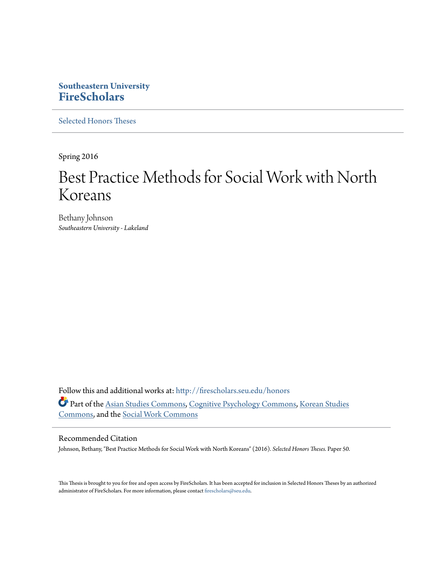# **Southeastern University [FireScholars](http://firescholars.seu.edu?utm_source=firescholars.seu.edu%2Fhonors%2F50&utm_medium=PDF&utm_campaign=PDFCoverPages)**

[Selected Honors Theses](http://firescholars.seu.edu/honors?utm_source=firescholars.seu.edu%2Fhonors%2F50&utm_medium=PDF&utm_campaign=PDFCoverPages)

Spring 2016

# Best Practice Methods for Social Work with North Koreans

Bethany Johnson *Southeastern University - Lakeland*

Follow this and additional works at: [http://firescholars.seu.edu/honors](http://firescholars.seu.edu/honors?utm_source=firescholars.seu.edu%2Fhonors%2F50&utm_medium=PDF&utm_campaign=PDFCoverPages) Part of the [Asian Studies Commons,](http://network.bepress.com/hgg/discipline/361?utm_source=firescholars.seu.edu%2Fhonors%2F50&utm_medium=PDF&utm_campaign=PDFCoverPages) [Cognitive Psychology Commons,](http://network.bepress.com/hgg/discipline/408?utm_source=firescholars.seu.edu%2Fhonors%2F50&utm_medium=PDF&utm_campaign=PDFCoverPages) [Korean Studies](http://network.bepress.com/hgg/discipline/1288?utm_source=firescholars.seu.edu%2Fhonors%2F50&utm_medium=PDF&utm_campaign=PDFCoverPages) [Commons,](http://network.bepress.com/hgg/discipline/1288?utm_source=firescholars.seu.edu%2Fhonors%2F50&utm_medium=PDF&utm_campaign=PDFCoverPages) and the [Social Work Commons](http://network.bepress.com/hgg/discipline/713?utm_source=firescholars.seu.edu%2Fhonors%2F50&utm_medium=PDF&utm_campaign=PDFCoverPages)

### Recommended Citation

Johnson, Bethany, "Best Practice Methods for Social Work with North Koreans" (2016). *Selected Honors Theses.* Paper 50.

This Thesis is brought to you for free and open access by FireScholars. It has been accepted for inclusion in Selected Honors Theses by an authorized administrator of FireScholars. For more information, please contact [firescholars@seu.edu](mailto:firescholars@seu.edu).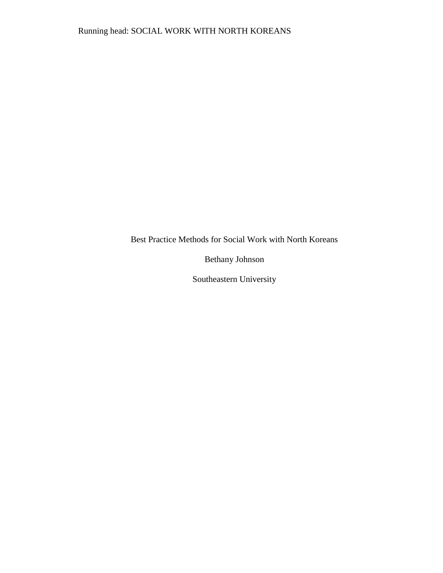Best Practice Methods for Social Work with North Koreans

Bethany Johnson

Southeastern University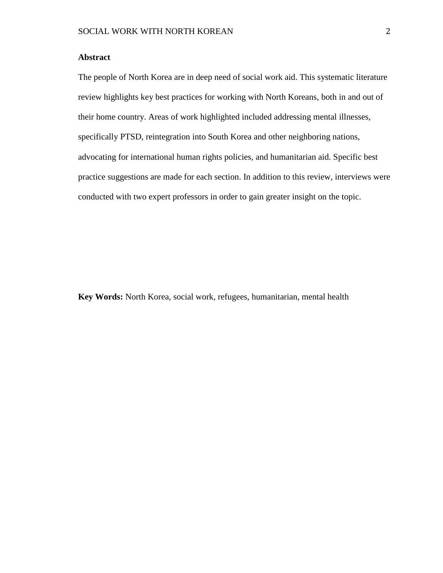# **Abstract**

The people of North Korea are in deep need of social work aid. This systematic literature review highlights key best practices for working with North Koreans, both in and out of their home country. Areas of work highlighted included addressing mental illnesses, specifically PTSD, reintegration into South Korea and other neighboring nations, advocating for international human rights policies, and humanitarian aid. Specific best practice suggestions are made for each section. In addition to this review, interviews were conducted with two expert professors in order to gain greater insight on the topic.

**Key Words:** North Korea, social work, refugees, humanitarian, mental health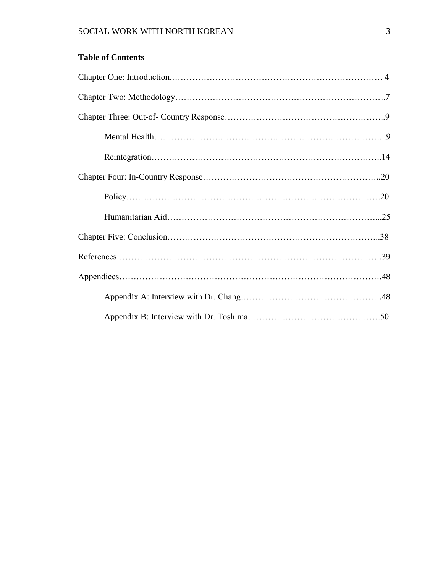|  | <b>Table of Contents</b> |  |
|--|--------------------------|--|
|  |                          |  |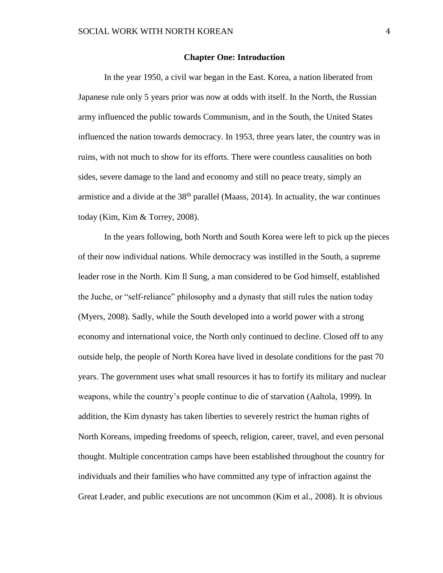#### **Chapter One: Introduction**

In the year 1950, a civil war began in the East. Korea, a nation liberated from Japanese rule only 5 years prior was now at odds with itself. In the North, the Russian army influenced the public towards Communism, and in the South, the United States influenced the nation towards democracy. In 1953, three years later, the country was in ruins, with not much to show for its efforts. There were countless causalities on both sides, severe damage to the land and economy and still no peace treaty, simply an armistice and a divide at the  $38<sup>th</sup>$  parallel (Maass, 2014). In actuality, the war continues today (Kim, Kim & Torrey, 2008).

In the years following, both North and South Korea were left to pick up the pieces of their now individual nations. While democracy was instilled in the South, a supreme leader rose in the North. Kim Il Sung, a man considered to be God himself, established the Juche, or "self-reliance" philosophy and a dynasty that still rules the nation today (Myers, 2008). Sadly, while the South developed into a world power with a strong economy and international voice, the North only continued to decline. Closed off to any outside help, the people of North Korea have lived in desolate conditions for the past 70 years. The government uses what small resources it has to fortify its military and nuclear weapons, while the country's people continue to die of starvation (Aaltola, 1999). In addition, the Kim dynasty has taken liberties to severely restrict the human rights of North Koreans, impeding freedoms of speech, religion, career, travel, and even personal thought. Multiple concentration camps have been established throughout the country for individuals and their families who have committed any type of infraction against the Great Leader, and public executions are not uncommon (Kim et al., 2008). It is obvious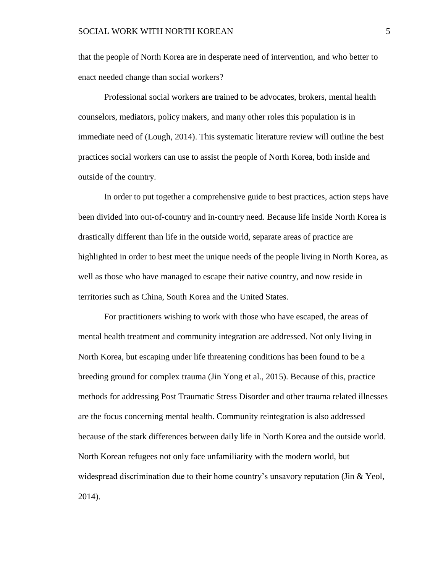that the people of North Korea are in desperate need of intervention, and who better to enact needed change than social workers?

Professional social workers are trained to be advocates, brokers, mental health counselors, mediators, policy makers, and many other roles this population is in immediate need of (Lough, 2014). This systematic literature review will outline the best practices social workers can use to assist the people of North Korea, both inside and outside of the country.

In order to put together a comprehensive guide to best practices, action steps have been divided into out-of-country and in-country need. Because life inside North Korea is drastically different than life in the outside world, separate areas of practice are highlighted in order to best meet the unique needs of the people living in North Korea, as well as those who have managed to escape their native country, and now reside in territories such as China, South Korea and the United States.

For practitioners wishing to work with those who have escaped, the areas of mental health treatment and community integration are addressed. Not only living in North Korea, but escaping under life threatening conditions has been found to be a breeding ground for complex trauma (Jin Yong et al., 2015). Because of this, practice methods for addressing Post Traumatic Stress Disorder and other trauma related illnesses are the focus concerning mental health. Community reintegration is also addressed because of the stark differences between daily life in North Korea and the outside world. North Korean refugees not only face unfamiliarity with the modern world, but widespread discrimination due to their home country's unsavory reputation (Jin & Yeol, 2014).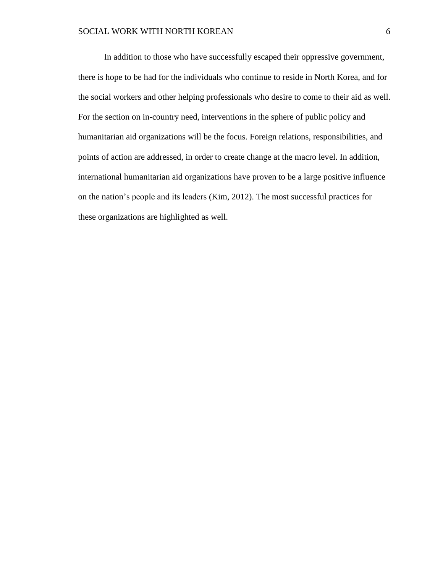In addition to those who have successfully escaped their oppressive government, there is hope to be had for the individuals who continue to reside in North Korea, and for the social workers and other helping professionals who desire to come to their aid as well. For the section on in-country need, interventions in the sphere of public policy and humanitarian aid organizations will be the focus. Foreign relations, responsibilities, and points of action are addressed, in order to create change at the macro level. In addition, international humanitarian aid organizations have proven to be a large positive influence on the nation's people and its leaders (Kim, 2012). The most successful practices for these organizations are highlighted as well.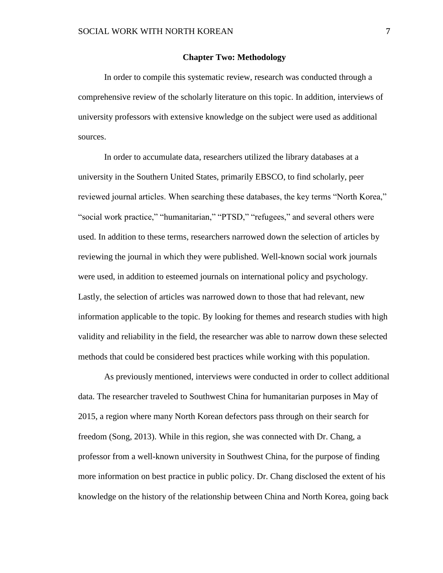#### **Chapter Two: Methodology**

In order to compile this systematic review, research was conducted through a comprehensive review of the scholarly literature on this topic. In addition, interviews of university professors with extensive knowledge on the subject were used as additional sources.

In order to accumulate data, researchers utilized the library databases at a university in the Southern United States, primarily EBSCO, to find scholarly, peer reviewed journal articles. When searching these databases, the key terms "North Korea," "social work practice," "humanitarian," "PTSD," "refugees," and several others were used. In addition to these terms, researchers narrowed down the selection of articles by reviewing the journal in which they were published. Well-known social work journals were used, in addition to esteemed journals on international policy and psychology. Lastly, the selection of articles was narrowed down to those that had relevant, new information applicable to the topic. By looking for themes and research studies with high validity and reliability in the field, the researcher was able to narrow down these selected methods that could be considered best practices while working with this population.

As previously mentioned, interviews were conducted in order to collect additional data. The researcher traveled to Southwest China for humanitarian purposes in May of 2015, a region where many North Korean defectors pass through on their search for freedom (Song, 2013). While in this region, she was connected with Dr. Chang, a professor from a well-known university in Southwest China, for the purpose of finding more information on best practice in public policy. Dr. Chang disclosed the extent of his knowledge on the history of the relationship between China and North Korea, going back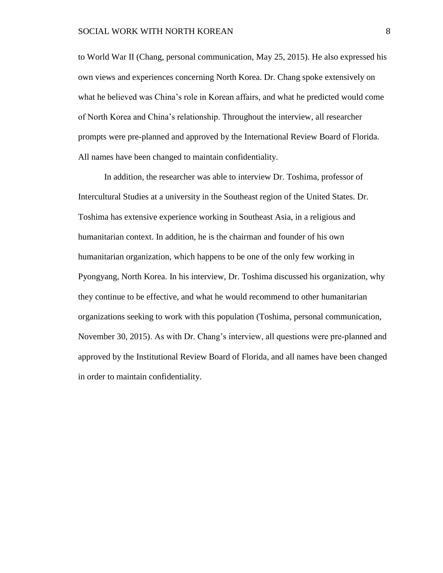to World War II (Chang, personal communication, May 25, 2015). He also expressed his own views and experiences concerning North Korea. Dr. Chang spoke extensively on what he believed was China's role in Korean affairs, and what he predicted would come of North Korea and China's relationship. Throughout the interview, all researcher prompts were pre-planned and approved by the International Review Board of Florida. All names have been changed to maintain confidentiality.

In addition, the researcher was able to interview Dr. Toshima, professor of Intercultural Studies at a university in the Southeast region of the United States. Dr. Toshima has extensive experience working in Southeast Asia, in a religious and humanitarian context. In addition, he is the chairman and founder of his own humanitarian organization, which happens to be one of the only few working in Pyongyang, North Korea. In his interview, Dr. Toshima discussed his organization, why they continue to be effective, and what he would recommend to other humanitarian organizations seeking to work with this population (Toshima, personal communication, November 30, 2015). As with Dr. Chang's interview, all questions were pre-planned and approved by the Institutional Review Board of Florida, and all names have been changed in order to maintain confidentiality.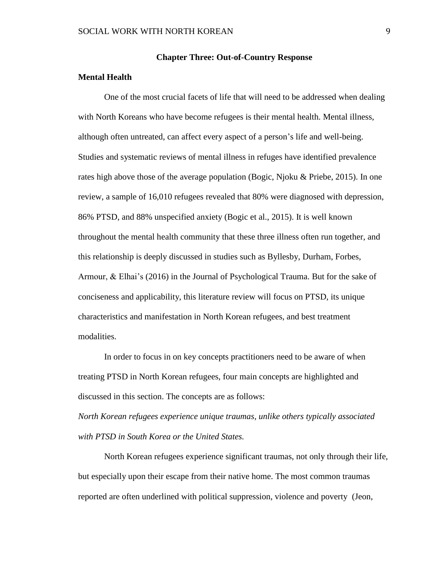#### **Chapter Three: Out-of-Country Response**

#### **Mental Health**

One of the most crucial facets of life that will need to be addressed when dealing with North Koreans who have become refugees is their mental health. Mental illness, although often untreated, can affect every aspect of a person's life and well-being. Studies and systematic reviews of mental illness in refuges have identified prevalence rates high above those of the average population (Bogic, Njoku & Priebe, 2015). In one review, a sample of 16,010 refugees revealed that 80% were diagnosed with depression, 86% PTSD, and 88% unspecified anxiety (Bogic et al., 2015). It is well known throughout the mental health community that these three illness often run together, and this relationship is deeply discussed in studies such as Byllesby, Durham, Forbes, Armour, & Elhai's (2016) in the Journal of Psychological Trauma. But for the sake of conciseness and applicability, this literature review will focus on PTSD, its unique characteristics and manifestation in North Korean refugees, and best treatment modalities.

In order to focus in on key concepts practitioners need to be aware of when treating PTSD in North Korean refugees, four main concepts are highlighted and discussed in this section. The concepts are as follows:

*North Korean refugees experience unique traumas, unlike others typically associated with PTSD in South Korea or the United States.*

North Korean refugees experience significant traumas, not only through their life, but especially upon their escape from their native home. The most common traumas reported are often underlined with political suppression, violence and poverty (Jeon,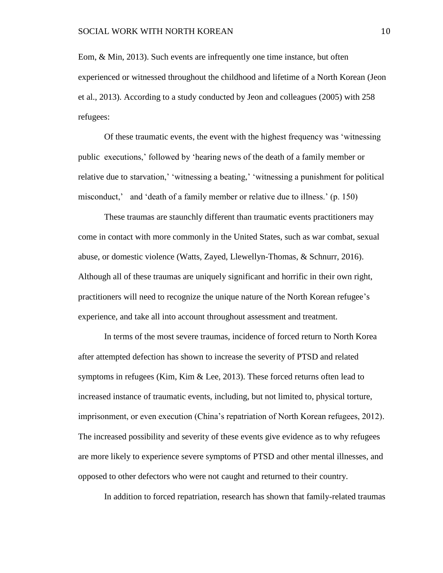Eom, & Min, 2013). Such events are infrequently one time instance, but often experienced or witnessed throughout the childhood and lifetime of a North Korean (Jeon et al., 2013). According to a study conducted by Jeon and colleagues (2005) with 258 refugees:

Of these traumatic events, the event with the highest frequency was 'witnessing public executions,' followed by 'hearing news of the death of a family member or relative due to starvation,' 'witnessing a beating,' 'witnessing a punishment for political misconduct,' and 'death of a family member or relative due to illness.' (p. 150)

These traumas are staunchly different than traumatic events practitioners may come in contact with more commonly in the United States, such as war combat, sexual abuse, or domestic violence (Watts, Zayed, Llewellyn-Thomas, & Schnurr, 2016). Although all of these traumas are uniquely significant and horrific in their own right, practitioners will need to recognize the unique nature of the North Korean refugee's experience, and take all into account throughout assessment and treatment.

In terms of the most severe traumas, incidence of forced return to North Korea after attempted defection has shown to increase the severity of PTSD and related symptoms in refugees (Kim, Kim & Lee, 2013). These forced returns often lead to increased instance of traumatic events, including, but not limited to, physical torture, imprisonment, or even execution (China's repatriation of North Korean refugees, 2012). The increased possibility and severity of these events give evidence as to why refugees are more likely to experience severe symptoms of PTSD and other mental illnesses, and opposed to other defectors who were not caught and returned to their country.

In addition to forced repatriation, research has shown that family-related traumas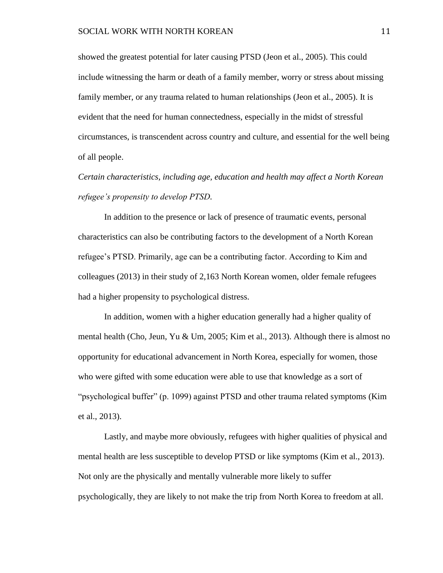showed the greatest potential for later causing PTSD (Jeon et al., 2005). This could include witnessing the harm or death of a family member, worry or stress about missing family member, or any trauma related to human relationships (Jeon et al., 2005). It is evident that the need for human connectedness, especially in the midst of stressful circumstances, is transcendent across country and culture, and essential for the well being of all people.

*Certain characteristics, including age, education and health may affect a North Korean refugee's propensity to develop PTSD.* 

In addition to the presence or lack of presence of traumatic events, personal characteristics can also be contributing factors to the development of a North Korean refugee's PTSD. Primarily, age can be a contributing factor. According to Kim and colleagues (2013) in their study of 2,163 North Korean women, older female refugees had a higher propensity to psychological distress.

In addition, women with a higher education generally had a higher quality of mental health (Cho, Jeun, Yu & Um, 2005; Kim et al., 2013). Although there is almost no opportunity for educational advancement in North Korea, especially for women, those who were gifted with some education were able to use that knowledge as a sort of "psychological buffer" (p. 1099) against PTSD and other trauma related symptoms (Kim et al., 2013).

Lastly, and maybe more obviously, refugees with higher qualities of physical and mental health are less susceptible to develop PTSD or like symptoms (Kim et al., 2013). Not only are the physically and mentally vulnerable more likely to suffer psychologically, they are likely to not make the trip from North Korea to freedom at all.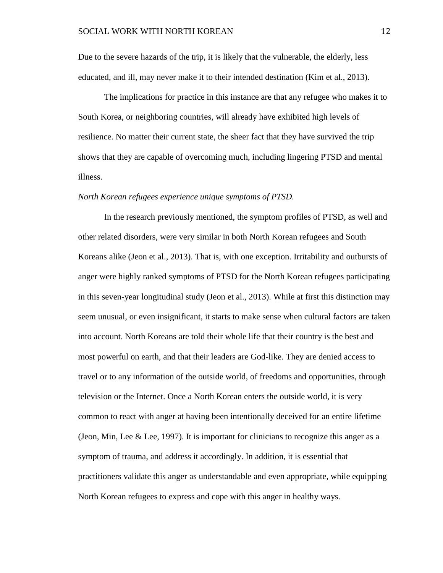Due to the severe hazards of the trip, it is likely that the vulnerable, the elderly, less educated, and ill, may never make it to their intended destination (Kim et al., 2013).

The implications for practice in this instance are that any refugee who makes it to South Korea, or neighboring countries, will already have exhibited high levels of resilience. No matter their current state, the sheer fact that they have survived the trip shows that they are capable of overcoming much, including lingering PTSD and mental illness.

#### *North Korean refugees experience unique symptoms of PTSD.*

In the research previously mentioned, the symptom profiles of PTSD, as well and other related disorders, were very similar in both North Korean refugees and South Koreans alike (Jeon et al., 2013). That is, with one exception. Irritability and outbursts of anger were highly ranked symptoms of PTSD for the North Korean refugees participating in this seven-year longitudinal study (Jeon et al., 2013). While at first this distinction may seem unusual, or even insignificant, it starts to make sense when cultural factors are taken into account. North Koreans are told their whole life that their country is the best and most powerful on earth, and that their leaders are God-like. They are denied access to travel or to any information of the outside world, of freedoms and opportunities, through television or the Internet. Once a North Korean enters the outside world, it is very common to react with anger at having been intentionally deceived for an entire lifetime (Jeon, Min, Lee  $&$  Lee, 1997). It is important for clinicians to recognize this anger as a symptom of trauma, and address it accordingly. In addition, it is essential that practitioners validate this anger as understandable and even appropriate, while equipping North Korean refugees to express and cope with this anger in healthy ways.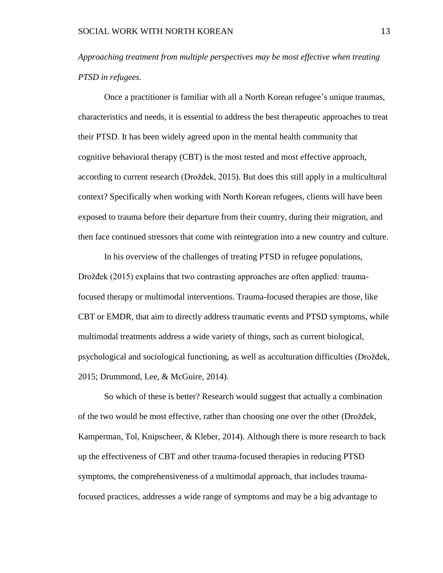*Approaching treatment from multiple perspectives may be most effective when treating PTSD in refugees.* 

Once a practitioner is familiar with all a North Korean refugee's unique traumas, characteristics and needs, it is essential to address the best therapeutic approaches to treat their PTSD. It has been widely agreed upon in the mental health community that cognitive behavioral therapy (CBT) is the most tested and most effective approach, according to current research (Drožđek, 2015). But does this still apply in a multicultural context? Specifically when working with North Korean refugees, clients will have been exposed to trauma before their departure from their country, during their migration, and then face continued stressors that come with reintegration into a new country and culture.

In his overview of the challenges of treating PTSD in refugee populations, Drožđek (2015) explains that two contrasting approaches are often applied: traumafocused therapy or multimodal interventions. Trauma-focused therapies are those, like CBT or EMDR, that aim to directly address traumatic events and PTSD symptoms, while multimodal treatments address a wide variety of things, such as current biological, psychological and sociological functioning, as well as acculturation difficulties (Drožđek, 2015; Drummond, Lee, & McGuire, 2014).

So which of these is better? Research would suggest that actually a combination of the two would be most effective, rather than choosing one over the other (Drožđek, Kamperman, Tol, Knipscheer, & Kleber, 2014). Although there is more research to back up the effectiveness of CBT and other trauma-focused therapies in reducing PTSD symptoms, the comprehensiveness of a multimodal approach, that includes traumafocused practices, addresses a wide range of symptoms and may be a big advantage to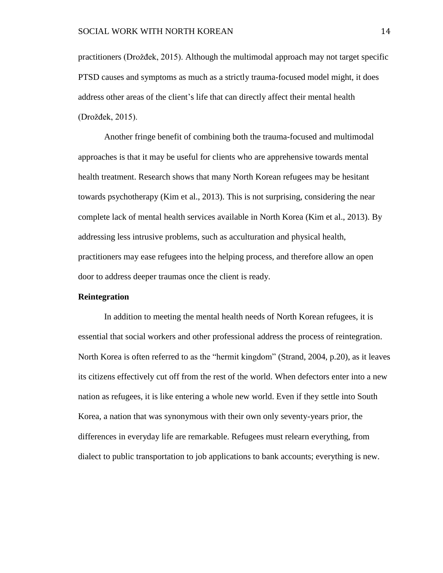practitioners (Drožđek, 2015). Although the multimodal approach may not target specific PTSD causes and symptoms as much as a strictly trauma-focused model might, it does address other areas of the client's life that can directly affect their mental health (Drožđek, 2015).

Another fringe benefit of combining both the trauma-focused and multimodal approaches is that it may be useful for clients who are apprehensive towards mental health treatment. Research shows that many North Korean refugees may be hesitant towards psychotherapy (Kim et al., 2013). This is not surprising, considering the near complete lack of mental health services available in North Korea (Kim et al., 2013). By addressing less intrusive problems, such as acculturation and physical health, practitioners may ease refugees into the helping process, and therefore allow an open door to address deeper traumas once the client is ready.

#### **Reintegration**

In addition to meeting the mental health needs of North Korean refugees, it is essential that social workers and other professional address the process of reintegration. North Korea is often referred to as the "hermit kingdom" (Strand, 2004, p.20), as it leaves its citizens effectively cut off from the rest of the world. When defectors enter into a new nation as refugees, it is like entering a whole new world. Even if they settle into South Korea, a nation that was synonymous with their own only seventy-years prior, the differences in everyday life are remarkable. Refugees must relearn everything, from dialect to public transportation to job applications to bank accounts; everything is new.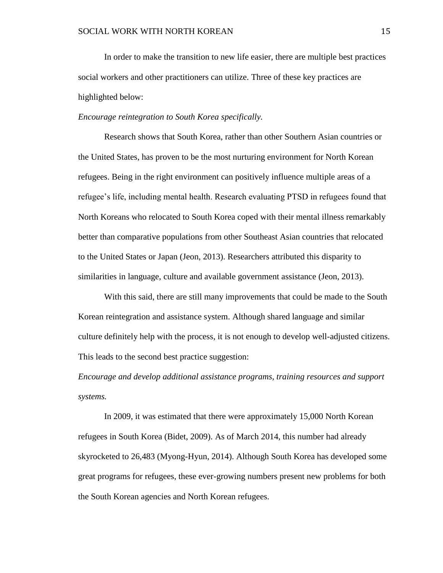In order to make the transition to new life easier, there are multiple best practices social workers and other practitioners can utilize. Three of these key practices are highlighted below:

#### *Encourage reintegration to South Korea specifically.*

Research shows that South Korea, rather than other Southern Asian countries or the United States, has proven to be the most nurturing environment for North Korean refugees. Being in the right environment can positively influence multiple areas of a refugee's life, including mental health. Research evaluating PTSD in refugees found that North Koreans who relocated to South Korea coped with their mental illness remarkably better than comparative populations from other Southeast Asian countries that relocated to the United States or Japan (Jeon, 2013). Researchers attributed this disparity to similarities in language, culture and available government assistance (Jeon, 2013).

With this said, there are still many improvements that could be made to the South Korean reintegration and assistance system. Although shared language and similar culture definitely help with the process, it is not enough to develop well-adjusted citizens. This leads to the second best practice suggestion:

*Encourage and develop additional assistance programs, training resources and support systems.* 

In 2009, it was estimated that there were approximately 15,000 North Korean refugees in South Korea (Bidet, 2009). As of March 2014, this number had already skyrocketed to 26,483 (Myong-Hyun, 2014). Although South Korea has developed some great programs for refugees, these ever-growing numbers present new problems for both the South Korean agencies and North Korean refugees.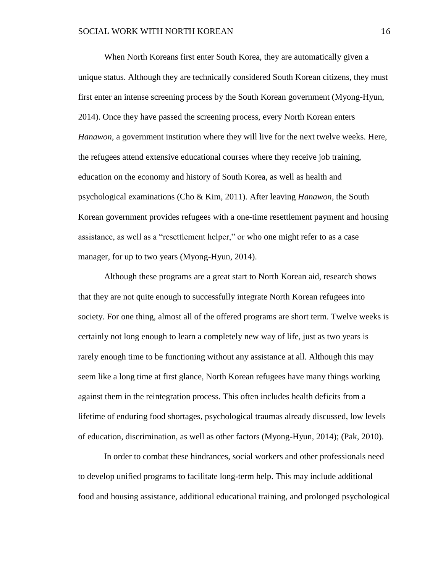When North Koreans first enter South Korea, they are automatically given a unique status. Although they are technically considered South Korean citizens, they must first enter an intense screening process by the South Korean government (Myong-Hyun, 2014). Once they have passed the screening process, every North Korean enters *Hanawon*, a government institution where they will live for the next twelve weeks. Here, the refugees attend extensive educational courses where they receive job training, education on the economy and history of South Korea, as well as health and psychological examinations (Cho & Kim, 2011). After leaving *Hanawon*, the South Korean government provides refugees with a one-time resettlement payment and housing assistance, as well as a "resettlement helper," or who one might refer to as a case manager, for up to two years (Myong-Hyun, 2014).

Although these programs are a great start to North Korean aid, research shows that they are not quite enough to successfully integrate North Korean refugees into society. For one thing, almost all of the offered programs are short term. Twelve weeks is certainly not long enough to learn a completely new way of life, just as two years is rarely enough time to be functioning without any assistance at all. Although this may seem like a long time at first glance, North Korean refugees have many things working against them in the reintegration process. This often includes health deficits from a lifetime of enduring food shortages, psychological traumas already discussed, low levels of education, discrimination, as well as other factors (Myong-Hyun, 2014); (Pak, 2010).

In order to combat these hindrances, social workers and other professionals need to develop unified programs to facilitate long-term help. This may include additional food and housing assistance, additional educational training, and prolonged psychological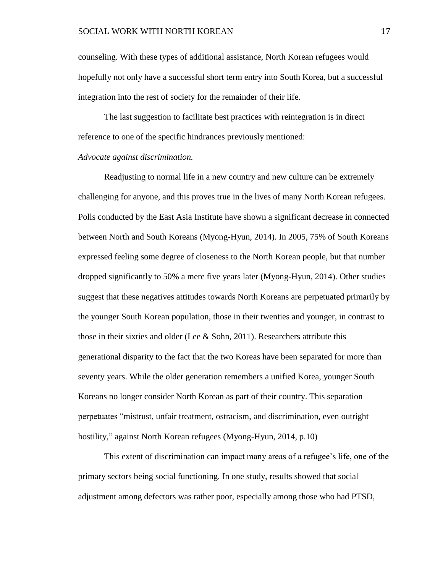counseling. With these types of additional assistance, North Korean refugees would hopefully not only have a successful short term entry into South Korea, but a successful integration into the rest of society for the remainder of their life.

The last suggestion to facilitate best practices with reintegration is in direct reference to one of the specific hindrances previously mentioned:

#### *Advocate against discrimination.*

Readjusting to normal life in a new country and new culture can be extremely challenging for anyone, and this proves true in the lives of many North Korean refugees. Polls conducted by the East Asia Institute have shown a significant decrease in connected between North and South Koreans (Myong-Hyun, 2014). In 2005, 75% of South Koreans expressed feeling some degree of closeness to the North Korean people, but that number dropped significantly to 50% a mere five years later (Myong-Hyun, 2014). Other studies suggest that these negatives attitudes towards North Koreans are perpetuated primarily by the younger South Korean population, those in their twenties and younger, in contrast to those in their sixties and older (Lee  $& Sohn, 2011$ ). Researchers attribute this generational disparity to the fact that the two Koreas have been separated for more than seventy years. While the older generation remembers a unified Korea, younger South Koreans no longer consider North Korean as part of their country. This separation perpetuates "mistrust, unfair treatment, ostracism, and discrimination, even outright hostility," against North Korean refugees (Myong-Hyun, 2014, p.10)

This extent of discrimination can impact many areas of a refugee's life, one of the primary sectors being social functioning. In one study, results showed that social adjustment among defectors was rather poor, especially among those who had PTSD,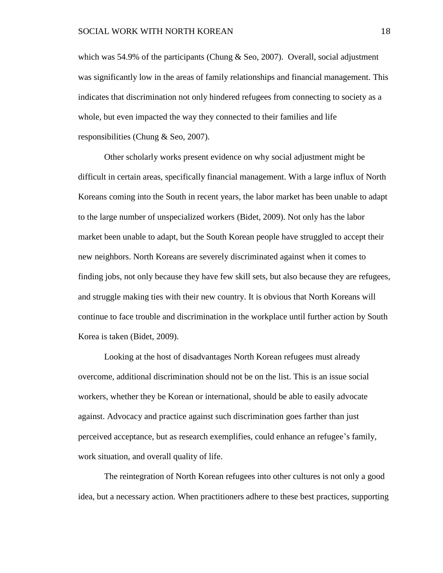which was 54.9% of the participants (Chung  $&$  Seo, 2007). Overall, social adjustment was significantly low in the areas of family relationships and financial management. This indicates that discrimination not only hindered refugees from connecting to society as a whole, but even impacted the way they connected to their families and life responsibilities (Chung & Seo, 2007).

Other scholarly works present evidence on why social adjustment might be difficult in certain areas, specifically financial management. With a large influx of North Koreans coming into the South in recent years, the labor market has been unable to adapt to the large number of unspecialized workers (Bidet, 2009). Not only has the labor market been unable to adapt, but the South Korean people have struggled to accept their new neighbors. North Koreans are severely discriminated against when it comes to finding jobs, not only because they have few skill sets, but also because they are refugees, and struggle making ties with their new country. It is obvious that North Koreans will continue to face trouble and discrimination in the workplace until further action by South Korea is taken (Bidet, 2009).

Looking at the host of disadvantages North Korean refugees must already overcome, additional discrimination should not be on the list. This is an issue social workers, whether they be Korean or international, should be able to easily advocate against. Advocacy and practice against such discrimination goes farther than just perceived acceptance, but as research exemplifies, could enhance an refugee's family, work situation, and overall quality of life.

The reintegration of North Korean refugees into other cultures is not only a good idea, but a necessary action. When practitioners adhere to these best practices, supporting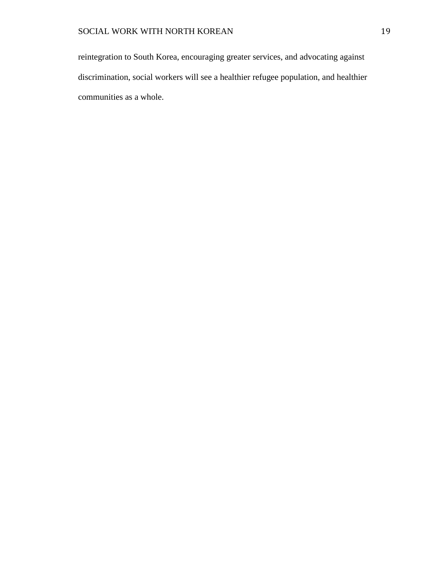reintegration to South Korea, encouraging greater services, and advocating against discrimination, social workers will see a healthier refugee population, and healthier communities as a whole.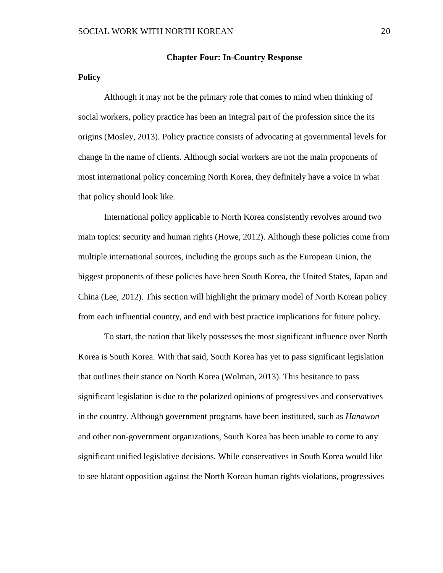#### **Chapter Four: In-Country Response**

### **Policy**

Although it may not be the primary role that comes to mind when thinking of social workers, policy practice has been an integral part of the profession since the its origins (Mosley, 2013). Policy practice consists of advocating at governmental levels for change in the name of clients. Although social workers are not the main proponents of most international policy concerning North Korea, they definitely have a voice in what that policy should look like.

International policy applicable to North Korea consistently revolves around two main topics: security and human rights (Howe, 2012). Although these policies come from multiple international sources, including the groups such as the European Union, the biggest proponents of these policies have been South Korea, the United States, Japan and China (Lee, 2012). This section will highlight the primary model of North Korean policy from each influential country, and end with best practice implications for future policy.

To start, the nation that likely possesses the most significant influence over North Korea is South Korea. With that said, South Korea has yet to pass significant legislation that outlines their stance on North Korea (Wolman, 2013). This hesitance to pass significant legislation is due to the polarized opinions of progressives and conservatives in the country. Although government programs have been instituted, such as *Hanawon* and other non-government organizations, South Korea has been unable to come to any significant unified legislative decisions. While conservatives in South Korea would like to see blatant opposition against the North Korean human rights violations, progressives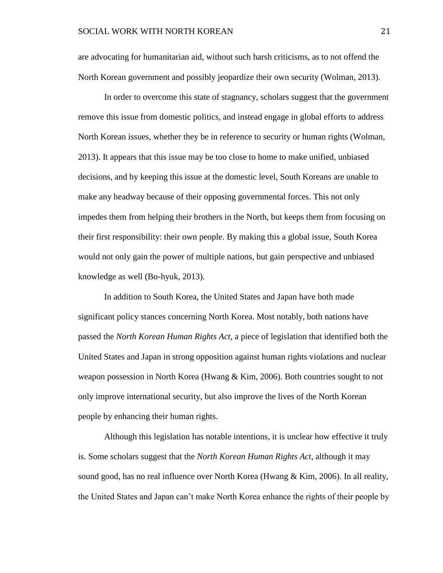are advocating for humanitarian aid, without such harsh criticisms, as to not offend the North Korean government and possibly jeopardize their own security (Wolman, 2013).

In order to overcome this state of stagnancy, scholars suggest that the government remove this issue from domestic politics, and instead engage in global efforts to address North Korean issues, whether they be in reference to security or human rights (Wolman, 2013). It appears that this issue may be too close to home to make unified, unbiased decisions, and by keeping this issue at the domestic level, South Koreans are unable to make any headway because of their opposing governmental forces. This not only impedes them from helping their brothers in the North, but keeps them from focusing on their first responsibility: their own people. By making this a global issue, South Korea would not only gain the power of multiple nations, but gain perspective and unbiased knowledge as well (Bo-hyuk, 2013).

In addition to South Korea, the United States and Japan have both made significant policy stances concerning North Korea. Most notably, both nations have passed the *North Korean Human Rights Act*, a piece of legislation that identified both the United States and Japan in strong opposition against human rights violations and nuclear weapon possession in North Korea (Hwang & Kim, 2006). Both countries sought to not only improve international security, but also improve the lives of the North Korean people by enhancing their human rights.

Although this legislation has notable intentions, it is unclear how effective it truly is. Some scholars suggest that the *North Korean Human Rights Act*, although it may sound good, has no real influence over North Korea (Hwang & Kim, 2006). In all reality, the United States and Japan can't make North Korea enhance the rights of their people by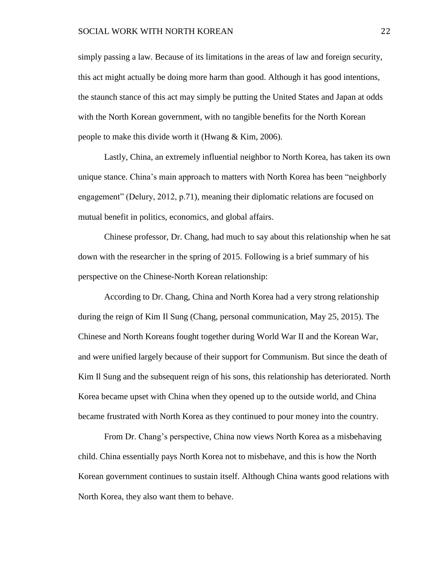simply passing a law. Because of its limitations in the areas of law and foreign security, this act might actually be doing more harm than good. Although it has good intentions, the staunch stance of this act may simply be putting the United States and Japan at odds with the North Korean government, with no tangible benefits for the North Korean people to make this divide worth it (Hwang & Kim, 2006).

Lastly, China, an extremely influential neighbor to North Korea, has taken its own unique stance. China's main approach to matters with North Korea has been "neighborly engagement" (Delury, 2012, p.71), meaning their diplomatic relations are focused on mutual benefit in politics, economics, and global affairs.

Chinese professor, Dr. Chang, had much to say about this relationship when he sat down with the researcher in the spring of 2015. Following is a brief summary of his perspective on the Chinese-North Korean relationship:

According to Dr. Chang, China and North Korea had a very strong relationship during the reign of Kim Il Sung (Chang, personal communication, May 25, 2015). The Chinese and North Koreans fought together during World War II and the Korean War, and were unified largely because of their support for Communism. But since the death of Kim Il Sung and the subsequent reign of his sons, this relationship has deteriorated. North Korea became upset with China when they opened up to the outside world, and China became frustrated with North Korea as they continued to pour money into the country.

From Dr. Chang's perspective, China now views North Korea as a misbehaving child. China essentially pays North Korea not to misbehave, and this is how the North Korean government continues to sustain itself. Although China wants good relations with North Korea, they also want them to behave.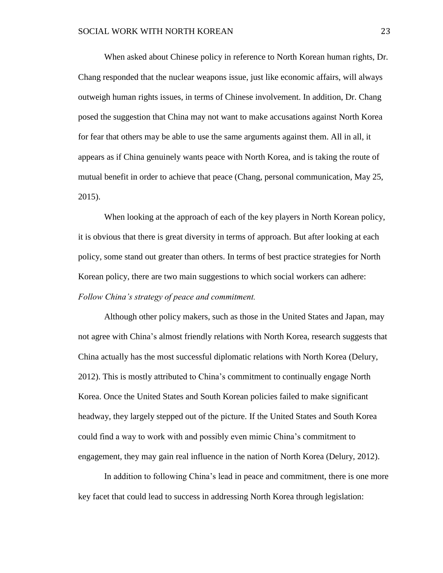When asked about Chinese policy in reference to North Korean human rights, Dr. Chang responded that the nuclear weapons issue, just like economic affairs, will always outweigh human rights issues, in terms of Chinese involvement. In addition, Dr. Chang posed the suggestion that China may not want to make accusations against North Korea for fear that others may be able to use the same arguments against them. All in all, it appears as if China genuinely wants peace with North Korea, and is taking the route of mutual benefit in order to achieve that peace (Chang, personal communication, May 25, 2015).

When looking at the approach of each of the key players in North Korean policy, it is obvious that there is great diversity in terms of approach. But after looking at each policy, some stand out greater than others. In terms of best practice strategies for North Korean policy, there are two main suggestions to which social workers can adhere: *Follow China's strategy of peace and commitment.*

Although other policy makers, such as those in the United States and Japan, may not agree with China's almost friendly relations with North Korea, research suggests that China actually has the most successful diplomatic relations with North Korea (Delury, 2012). This is mostly attributed to China's commitment to continually engage North Korea. Once the United States and South Korean policies failed to make significant headway, they largely stepped out of the picture. If the United States and South Korea could find a way to work with and possibly even mimic China's commitment to engagement, they may gain real influence in the nation of North Korea (Delury, 2012).

In addition to following China's lead in peace and commitment, there is one more key facet that could lead to success in addressing North Korea through legislation: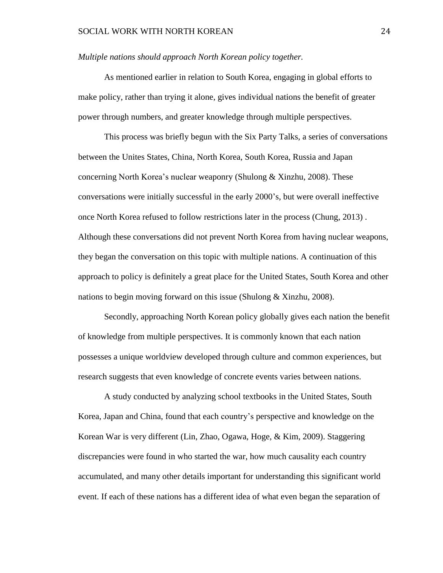#### *Multiple nations should approach North Korean policy together.*

As mentioned earlier in relation to South Korea, engaging in global efforts to make policy, rather than trying it alone, gives individual nations the benefit of greater power through numbers, and greater knowledge through multiple perspectives.

This process was briefly begun with the Six Party Talks, a series of conversations between the Unites States, China, North Korea, South Korea, Russia and Japan concerning North Korea's nuclear weaponry (Shulong & Xinzhu, 2008). These conversations were initially successful in the early 2000's, but were overall ineffective once North Korea refused to follow restrictions later in the process (Chung, 2013) . Although these conversations did not prevent North Korea from having nuclear weapons, they began the conversation on this topic with multiple nations. A continuation of this approach to policy is definitely a great place for the United States, South Korea and other nations to begin moving forward on this issue (Shulong & Xinzhu, 2008).

Secondly, approaching North Korean policy globally gives each nation the benefit of knowledge from multiple perspectives. It is commonly known that each nation possesses a unique worldview developed through culture and common experiences, but research suggests that even knowledge of concrete events varies between nations.

A study conducted by analyzing school textbooks in the United States, South Korea, Japan and China, found that each country's perspective and knowledge on the Korean War is very different (Lin, Zhao, Ogawa, Hoge, & Kim, 2009). Staggering discrepancies were found in who started the war, how much causality each country accumulated, and many other details important for understanding this significant world event. If each of these nations has a different idea of what even began the separation of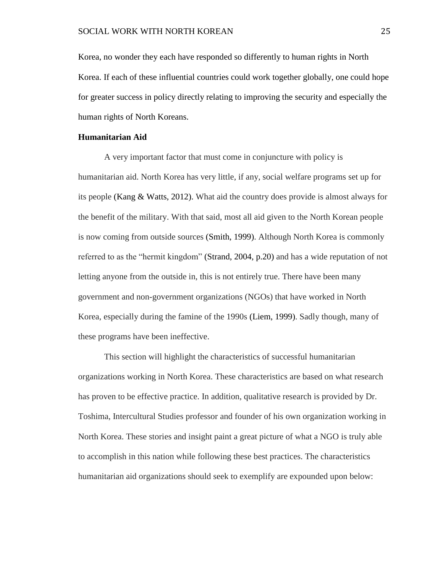Korea, no wonder they each have responded so differently to human rights in North Korea. If each of these influential countries could work together globally, one could hope for greater success in policy directly relating to improving the security and especially the human rights of North Koreans.

#### **Humanitarian Aid**

A very important factor that must come in conjuncture with policy is humanitarian aid. North Korea has very little, if any, social welfare programs set up for its people (Kang & Watts, 2012). What aid the country does provide is almost always for the benefit of the military. With that said, most all aid given to the North Korean people is now coming from outside sources (Smith, 1999). Although North Korea is commonly referred to as the "hermit kingdom" (Strand, 2004, p.20) and has a wide reputation of not letting anyone from the outside in, this is not entirely true. There have been many government and non-government organizations (NGOs) that have worked in North Korea, especially during the famine of the 1990s (Liem, 1999). Sadly though, many of these programs have been ineffective.

This section will highlight the characteristics of successful humanitarian organizations working in North Korea. These characteristics are based on what research has proven to be effective practice. In addition, qualitative research is provided by Dr. Toshima, Intercultural Studies professor and founder of his own organization working in North Korea. These stories and insight paint a great picture of what a NGO is truly able to accomplish in this nation while following these best practices. The characteristics humanitarian aid organizations should seek to exemplify are expounded upon below: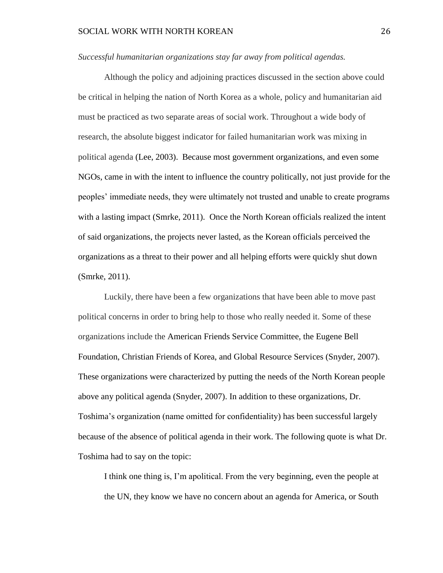#### *Successful humanitarian organizations stay far away from political agendas.*

Although the policy and adjoining practices discussed in the section above could be critical in helping the nation of North Korea as a whole, policy and humanitarian aid must be practiced as two separate areas of social work. Throughout a wide body of research, the absolute biggest indicator for failed humanitarian work was mixing in political agenda (Lee, 2003). Because most government organizations, and even some NGOs, came in with the intent to influence the country politically, not just provide for the peoples' immediate needs, they were ultimately not trusted and unable to create programs with a lasting impact (Smrke, 2011). Once the North Korean officials realized the intent of said organizations, the projects never lasted, as the Korean officials perceived the organizations as a threat to their power and all helping efforts were quickly shut down (Smrke, 2011).

Luckily, there have been a few organizations that have been able to move past political concerns in order to bring help to those who really needed it. Some of these organizations include the American Friends Service Committee, the Eugene Bell Foundation, Christian Friends of Korea, and Global Resource Services (Snyder, 2007). These organizations were characterized by putting the needs of the North Korean people above any political agenda (Snyder, 2007). In addition to these organizations, Dr. Toshima's organization (name omitted for confidentiality) has been successful largely because of the absence of political agenda in their work. The following quote is what Dr. Toshima had to say on the topic:

I think one thing is, I'm apolitical. From the very beginning, even the people at the UN, they know we have no concern about an agenda for America, or South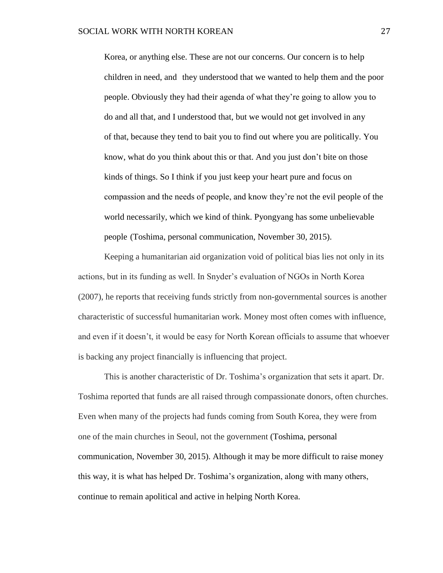Korea, or anything else. These are not our concerns. Our concern is to help children in need, and they understood that we wanted to help them and the poor people. Obviously they had their agenda of what they're going to allow you to do and all that, and I understood that, but we would not get involved in any of that, because they tend to bait you to find out where you are politically. You know, what do you think about this or that. And you just don't bite on those kinds of things. So I think if you just keep your heart pure and focus on compassion and the needs of people, and know they're not the evil people of the world necessarily, which we kind of think. Pyongyang has some unbelievable people (Toshima, personal communication, November 30, 2015).

Keeping a humanitarian aid organization void of political bias lies not only in its actions, but in its funding as well. In Snyder's evaluation of NGOs in North Korea (2007), he reports that receiving funds strictly from non-governmental sources is another characteristic of successful humanitarian work. Money most often comes with influence, and even if it doesn't, it would be easy for North Korean officials to assume that whoever is backing any project financially is influencing that project.

This is another characteristic of Dr. Toshima's organization that sets it apart. Dr. Toshima reported that funds are all raised through compassionate donors, often churches. Even when many of the projects had funds coming from South Korea, they were from one of the main churches in Seoul, not the government (Toshima, personal communication, November 30, 2015). Although it may be more difficult to raise money this way, it is what has helped Dr. Toshima's organization, along with many others, continue to remain apolitical and active in helping North Korea.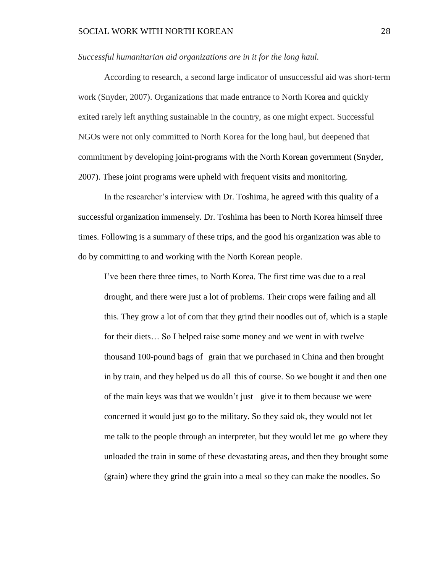#### *Successful humanitarian aid organizations are in it for the long haul.*

According to research, a second large indicator of unsuccessful aid was short-term work (Snyder, 2007). Organizations that made entrance to North Korea and quickly exited rarely left anything sustainable in the country, as one might expect. Successful NGOs were not only committed to North Korea for the long haul, but deepened that commitment by developing joint-programs with the North Korean government (Snyder, 2007). These joint programs were upheld with frequent visits and monitoring.

In the researcher's interview with Dr. Toshima, he agreed with this quality of a successful organization immensely. Dr. Toshima has been to North Korea himself three times. Following is a summary of these trips, and the good his organization was able to do by committing to and working with the North Korean people.

I've been there three times, to North Korea. The first time was due to a real drought, and there were just a lot of problems. Their crops were failing and all this. They grow a lot of corn that they grind their noodles out of, which is a staple for their diets… So I helped raise some money and we went in with twelve thousand 100-pound bags of grain that we purchased in China and then brought in by train, and they helped us do all this of course. So we bought it and then one of the main keys was that we wouldn't just give it to them because we were concerned it would just go to the military. So they said ok, they would not let me talk to the people through an interpreter, but they would let me go where they unloaded the train in some of these devastating areas, and then they brought some (grain) where they grind the grain into a meal so they can make the noodles. So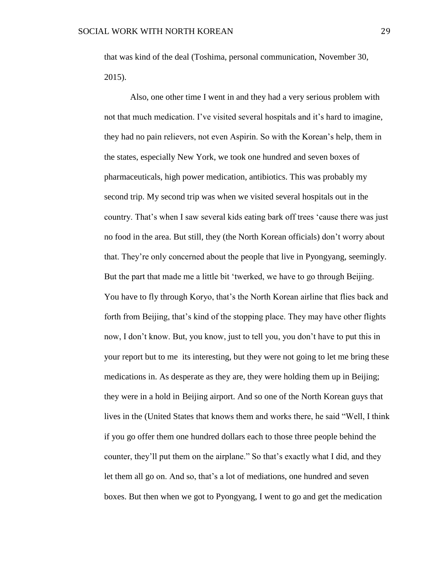that was kind of the deal (Toshima, personal communication, November 30, 2015).

Also, one other time I went in and they had a very serious problem with not that much medication. I've visited several hospitals and it's hard to imagine, they had no pain relievers, not even Aspirin. So with the Korean's help, them in the states, especially New York, we took one hundred and seven boxes of pharmaceuticals, high power medication, antibiotics. This was probably my second trip. My second trip was when we visited several hospitals out in the country. That's when I saw several kids eating bark off trees 'cause there was just no food in the area. But still, they (the North Korean officials) don't worry about that. They're only concerned about the people that live in Pyongyang, seemingly. But the part that made me a little bit 'twerked, we have to go through Beijing. You have to fly through Koryo, that's the North Korean airline that flies back and forth from Beijing, that's kind of the stopping place. They may have other flights now, I don't know. But, you know, just to tell you, you don't have to put this in your report but to me its interesting, but they were not going to let me bring these medications in. As desperate as they are, they were holding them up in Beijing; they were in a hold in Beijing airport. And so one of the North Korean guys that lives in the (United States that knows them and works there, he said "Well, I think if you go offer them one hundred dollars each to those three people behind the counter, they'll put them on the airplane." So that's exactly what I did, and they let them all go on. And so, that's a lot of mediations, one hundred and seven boxes. But then when we got to Pyongyang, I went to go and get the medication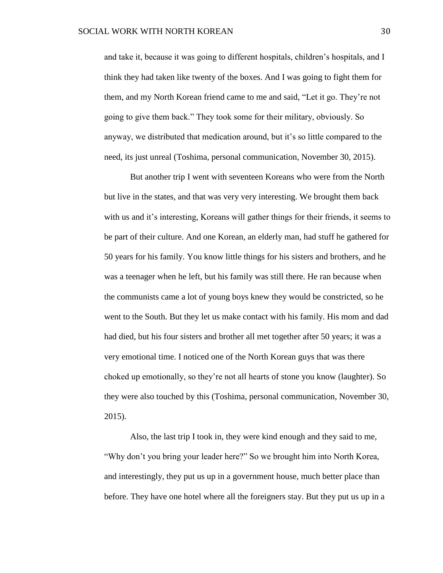and take it, because it was going to different hospitals, children's hospitals, and I think they had taken like twenty of the boxes. And I was going to fight them for them, and my North Korean friend came to me and said, "Let it go. They're not going to give them back." They took some for their military, obviously. So anyway, we distributed that medication around, but it's so little compared to the need, its just unreal (Toshima, personal communication, November 30, 2015).

But another trip I went with seventeen Koreans who were from the North but live in the states, and that was very very interesting. We brought them back with us and it's interesting, Koreans will gather things for their friends, it seems to be part of their culture. And one Korean, an elderly man, had stuff he gathered for 50 years for his family. You know little things for his sisters and brothers, and he was a teenager when he left, but his family was still there. He ran because when the communists came a lot of young boys knew they would be constricted, so he went to the South. But they let us make contact with his family. His mom and dad had died, but his four sisters and brother all met together after 50 years; it was a very emotional time. I noticed one of the North Korean guys that was there choked up emotionally, so they're not all hearts of stone you know (laughter). So they were also touched by this (Toshima, personal communication, November 30, 2015).

Also, the last trip I took in, they were kind enough and they said to me, "Why don't you bring your leader here?" So we brought him into North Korea, and interestingly, they put us up in a government house, much better place than before. They have one hotel where all the foreigners stay. But they put us up in a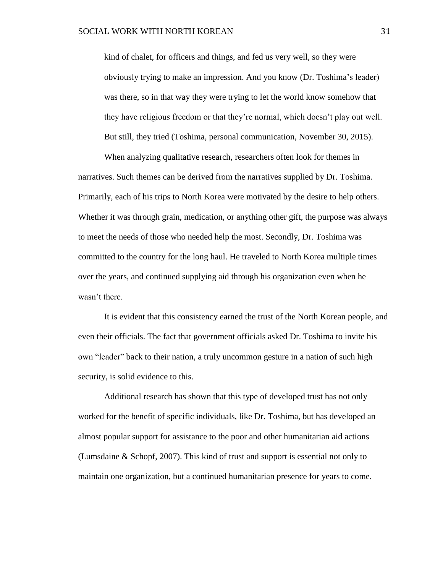kind of chalet, for officers and things, and fed us very well, so they were obviously trying to make an impression. And you know (Dr. Toshima's leader) was there, so in that way they were trying to let the world know somehow that they have religious freedom or that they're normal, which doesn't play out well. But still, they tried (Toshima, personal communication, November 30, 2015).

When analyzing qualitative research, researchers often look for themes in narratives. Such themes can be derived from the narratives supplied by Dr. Toshima. Primarily, each of his trips to North Korea were motivated by the desire to help others. Whether it was through grain, medication, or anything other gift, the purpose was always to meet the needs of those who needed help the most. Secondly, Dr. Toshima was committed to the country for the long haul. He traveled to North Korea multiple times over the years, and continued supplying aid through his organization even when he wasn't there.

It is evident that this consistency earned the trust of the North Korean people, and even their officials. The fact that government officials asked Dr. Toshima to invite his own "leader" back to their nation, a truly uncommon gesture in a nation of such high security, is solid evidence to this.

Additional research has shown that this type of developed trust has not only worked for the benefit of specific individuals, like Dr. Toshima, but has developed an almost popular support for assistance to the poor and other humanitarian aid actions (Lumsdaine & Schopf, 2007). This kind of trust and support is essential not only to maintain one organization, but a continued humanitarian presence for years to come.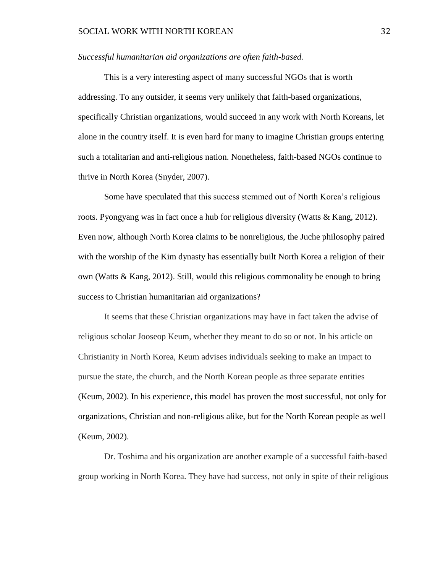#### *Successful humanitarian aid organizations are often faith-based.*

This is a very interesting aspect of many successful NGOs that is worth addressing. To any outsider, it seems very unlikely that faith-based organizations, specifically Christian organizations, would succeed in any work with North Koreans, let alone in the country itself. It is even hard for many to imagine Christian groups entering such a totalitarian and anti-religious nation. Nonetheless, faith-based NGOs continue to thrive in North Korea (Snyder, 2007).

Some have speculated that this success stemmed out of North Korea's religious roots. Pyongyang was in fact once a hub for religious diversity (Watts & Kang, 2012). Even now, although North Korea claims to be nonreligious, the Juche philosophy paired with the worship of the Kim dynasty has essentially built North Korea a religion of their own (Watts  $\&$  Kang, 2012). Still, would this religious commonality be enough to bring success to Christian humanitarian aid organizations?

It seems that these Christian organizations may have in fact taken the advise of religious scholar Jooseop Keum, whether they meant to do so or not. In his article on Christianity in North Korea, Keum advises individuals seeking to make an impact to pursue the state, the church, and the North Korean people as three separate entities (Keum, 2002). In his experience, this model has proven the most successful, not only for organizations, Christian and non-religious alike, but for the North Korean people as well (Keum, 2002).

Dr. Toshima and his organization are another example of a successful faith-based group working in North Korea. They have had success, not only in spite of their religious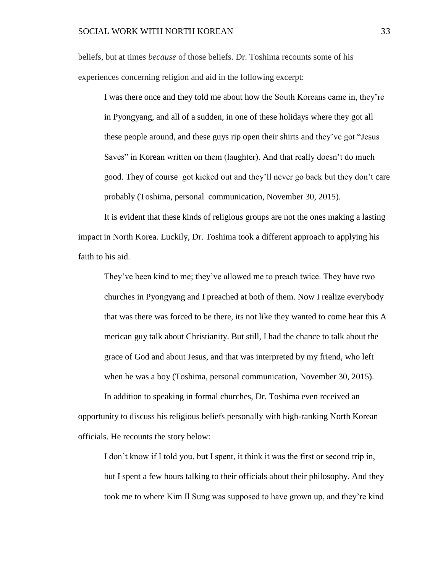beliefs, but at times *because* of those beliefs. Dr. Toshima recounts some of his experiences concerning religion and aid in the following excerpt:

I was there once and they told me about how the South Koreans came in, they're in Pyongyang, and all of a sudden, in one of these holidays where they got all these people around, and these guys rip open their shirts and they've got "Jesus Saves" in Korean written on them (laughter). And that really doesn't do much good. They of course got kicked out and they'll never go back but they don't care probably (Toshima, personal communication, November 30, 2015).

It is evident that these kinds of religious groups are not the ones making a lasting impact in North Korea. Luckily, Dr. Toshima took a different approach to applying his faith to his aid.

They've been kind to me; they've allowed me to preach twice. They have two churches in Pyongyang and I preached at both of them. Now I realize everybody that was there was forced to be there, its not like they wanted to come hear this A merican guy talk about Christianity. But still, I had the chance to talk about the grace of God and about Jesus, and that was interpreted by my friend, who left when he was a boy (Toshima, personal communication, November 30, 2015).

In addition to speaking in formal churches, Dr. Toshima even received an opportunity to discuss his religious beliefs personally with high-ranking North Korean officials. He recounts the story below:

I don't know if I told you, but I spent, it think it was the first or second trip in, but I spent a few hours talking to their officials about their philosophy. And they took me to where Kim Il Sung was supposed to have grown up, and they're kind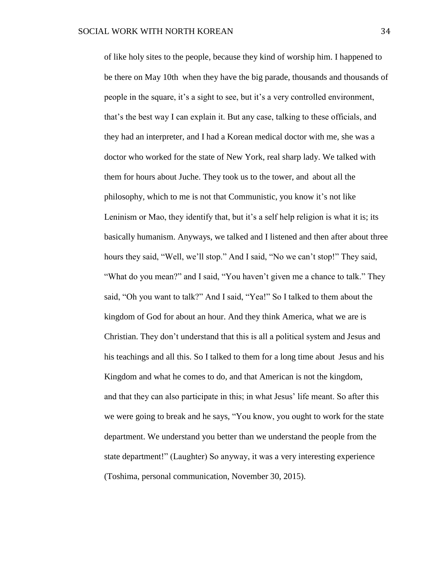of like holy sites to the people, because they kind of worship him. I happened to be there on May 10th when they have the big parade, thousands and thousands of people in the square, it's a sight to see, but it's a very controlled environment, that's the best way I can explain it. But any case, talking to these officials, and they had an interpreter, and I had a Korean medical doctor with me, she was a doctor who worked for the state of New York, real sharp lady. We talked with them for hours about Juche. They took us to the tower, and about all the philosophy, which to me is not that Communistic, you know it's not like Leninism or Mao, they identify that, but it's a self help religion is what it is; its basically humanism. Anyways, we talked and I listened and then after about three hours they said, "Well, we'll stop." And I said, "No we can't stop!" They said, "What do you mean?" and I said, "You haven't given me a chance to talk." They said, "Oh you want to talk?" And I said, "Yea!" So I talked to them about the kingdom of God for about an hour. And they think America, what we are is Christian. They don't understand that this is all a political system and Jesus and his teachings and all this. So I talked to them for a long time about Jesus and his Kingdom and what he comes to do, and that American is not the kingdom, and that they can also participate in this; in what Jesus' life meant. So after this we were going to break and he says, "You know, you ought to work for the state department. We understand you better than we understand the people from the state department!" (Laughter) So anyway, it was a very interesting experience (Toshima, personal communication, November 30, 2015).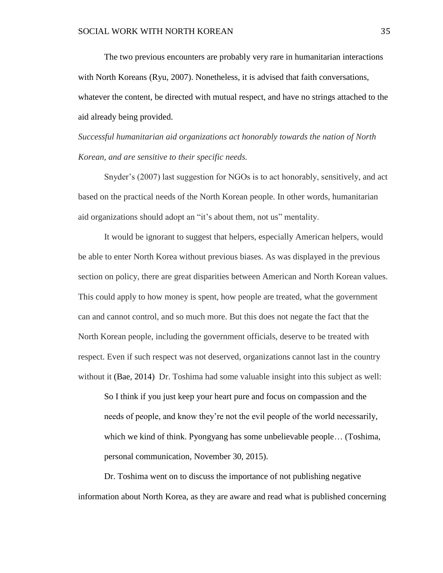The two previous encounters are probably very rare in humanitarian interactions with North Koreans (Ryu, 2007). Nonetheless, it is advised that faith conversations, whatever the content, be directed with mutual respect, and have no strings attached to the aid already being provided.

*Successful humanitarian aid organizations act honorably towards the nation of North Korean, and are sensitive to their specific needs.* 

Snyder's (2007) last suggestion for NGOs is to act honorably, sensitively, and act based on the practical needs of the North Korean people. In other words, humanitarian aid organizations should adopt an "it's about them, not us" mentality.

It would be ignorant to suggest that helpers, especially American helpers, would be able to enter North Korea without previous biases. As was displayed in the previous section on policy, there are great disparities between American and North Korean values. This could apply to how money is spent, how people are treated, what the government can and cannot control, and so much more. But this does not negate the fact that the North Korean people, including the government officials, deserve to be treated with respect. Even if such respect was not deserved, organizations cannot last in the country without it (Bae, 2014) Dr. Toshima had some valuable insight into this subject as well:

So I think if you just keep your heart pure and focus on compassion and the needs of people, and know they're not the evil people of the world necessarily, which we kind of think. Pyongyang has some unbelievable people… (Toshima, personal communication, November 30, 2015).

Dr. Toshima went on to discuss the importance of not publishing negative information about North Korea, as they are aware and read what is published concerning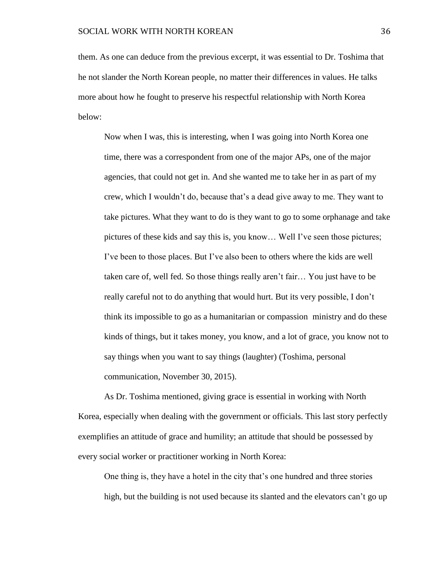them. As one can deduce from the previous excerpt, it was essential to Dr. Toshima that he not slander the North Korean people, no matter their differences in values. He talks more about how he fought to preserve his respectful relationship with North Korea below:

Now when I was, this is interesting, when I was going into North Korea one time, there was a correspondent from one of the major APs, one of the major agencies, that could not get in. And she wanted me to take her in as part of my crew, which I wouldn't do, because that's a dead give away to me. They want to take pictures. What they want to do is they want to go to some orphanage and take pictures of these kids and say this is, you know… Well I've seen those pictures; I've been to those places. But I've also been to others where the kids are well taken care of, well fed. So those things really aren't fair… You just have to be really careful not to do anything that would hurt. But its very possible, I don't think its impossible to go as a humanitarian or compassion ministry and do these kinds of things, but it takes money, you know, and a lot of grace, you know not to say things when you want to say things (laughter) (Toshima, personal communication, November 30, 2015).

As Dr. Toshima mentioned, giving grace is essential in working with North Korea, especially when dealing with the government or officials. This last story perfectly exemplifies an attitude of grace and humility; an attitude that should be possessed by every social worker or practitioner working in North Korea:

One thing is, they have a hotel in the city that's one hundred and three stories high, but the building is not used because its slanted and the elevators can't go up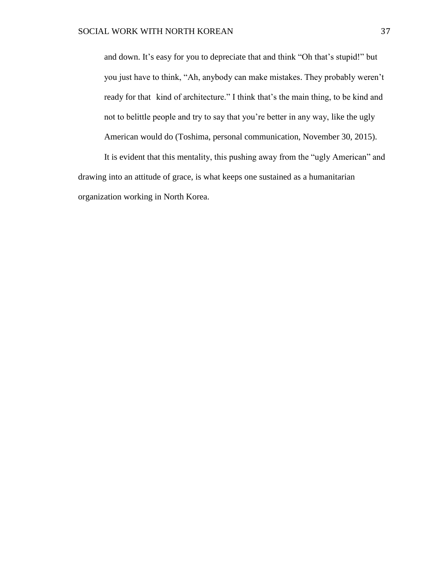and down. It's easy for you to depreciate that and think "Oh that's stupid!" but you just have to think, "Ah, anybody can make mistakes. They probably weren't ready for that kind of architecture." I think that's the main thing, to be kind and not to belittle people and try to say that you're better in any way, like the ugly American would do (Toshima, personal communication, November 30, 2015).

It is evident that this mentality, this pushing away from the "ugly American" and drawing into an attitude of grace, is what keeps one sustained as a humanitarian organization working in North Korea.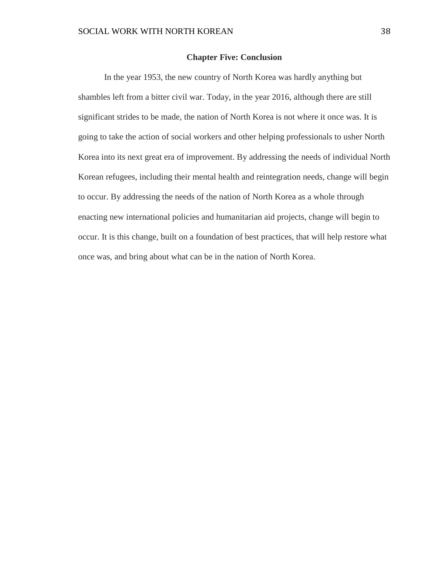#### **Chapter Five: Conclusion**

In the year 1953, the new country of North Korea was hardly anything but shambles left from a bitter civil war. Today, in the year 2016, although there are still significant strides to be made, the nation of North Korea is not where it once was. It is going to take the action of social workers and other helping professionals to usher North Korea into its next great era of improvement. By addressing the needs of individual North Korean refugees, including their mental health and reintegration needs, change will begin to occur. By addressing the needs of the nation of North Korea as a whole through enacting new international policies and humanitarian aid projects, change will begin to occur. It is this change, built on a foundation of best practices, that will help restore what once was, and bring about what can be in the nation of North Korea.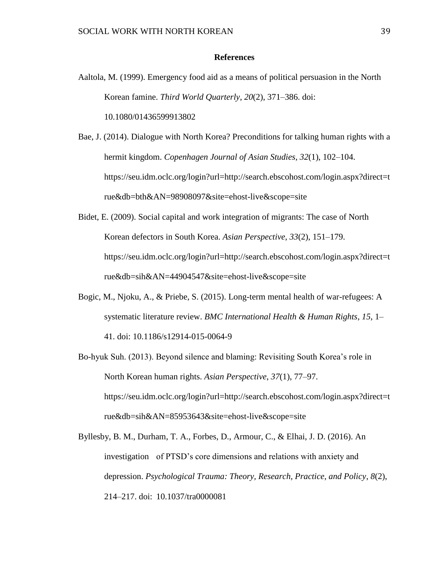#### **References**

Aaltola, M. (1999). Emergency food aid as a means of political persuasion in the North Korean famine. *Third World Quarterly*, *20*(2), 371–386. doi: 10.1080/01436599913802

Bae, J. (2014). Dialogue with North Korea? Preconditions for talking human rights with a hermit kingdom. *Copenhagen Journal of Asian Studies*, *32*(1), 102–104. https://seu.idm.oclc.org/login?url=http://search.ebscohost.com/login.aspx?direct=t rue&db=bth&AN=98908097&site=ehost-live&scope=site

- Bidet, E. (2009). Social capital and work integration of migrants: The case of North Korean defectors in South Korea. *Asian Perspective*, *33*(2), 151–179. https://seu.idm.oclc.org/login?url=http://search.ebscohost.com/login.aspx?direct=t rue&db=sih&AN=44904547&site=ehost-live&scope=site
- Bogic, M., Njoku, A., & Priebe, S. (2015). Long-term mental health of war-refugees: A systematic literature review. *BMC International Health & Human Rights*, *15*, 1– 41. doi: 10.1186/s12914-015-0064-9
- Bo-hyuk Suh. (2013). Beyond silence and blaming: Revisiting South Korea's role in North Korean human rights. *Asian Perspective*, *37*(1), 77–97. https://seu.idm.oclc.org/login?url=http://search.ebscohost.com/login.aspx?direct=t rue&db=sih&AN=85953643&site=ehost-live&scope=site
- Byllesby, B. M., Durham, T. A., Forbes, D., Armour, C., & Elhai, J. D. (2016). An investigation of PTSD's core dimensions and relations with anxiety and depression. *Psychological Trauma: Theory, Research, Practice, and Policy*, *8*(2), 214–217. doi: 10.1037/tra0000081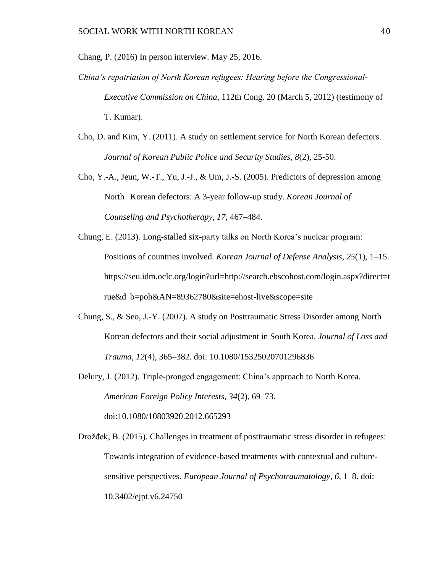Chang, P. (2016) In person interview. May 25, 2016.

- *China's repatriation of North Korean refugees: Hearing before the Congressional-Executive Commission on China,* 112th Cong. 20 (March 5, 2012) (testimony of T. Kumar).
- Cho, D. and Kim, Y. (2011). A study on settlement service for North Korean defectors. *Journal of Korean Public Police and Security Studies, 8*(2), 25-50.
- Cho, Y.-A., Jeun, W.-T., Yu, J.-J., & Um, J.-S. (2005). Predictors of depression among North Korean defectors: A 3-year follow-up study. *Korean Journal of Counseling and Psychotherapy, 17,* 467–484.
- Chung, E. (2013). Long-stalled six-party talks on North Korea's nuclear program: Positions of countries involved. *Korean Journal of Defense Analysis*, *25*(1), 1–15. https://seu.idm.oclc.org/login?url=http://search.ebscohost.com/login.aspx?direct=t rue&d b=poh&AN=89362780&site=ehost-live&scope=site
- Chung, S., & Seo, J.-Y. (2007). A study on Posttraumatic Stress Disorder among North Korean defectors and their social adjustment in South Korea. *Journal of Loss and Trauma*, *12*(4), 365–382. doi: 10.1080/15325020701296836
- Delury, J. (2012). Triple-pronged engagement: China's approach to North Korea. *American Foreign Policy Interests*, *34*(2), 69–73. doi:10.1080/10803920.2012.665293
- Drožđek, B. (2015). Challenges in treatment of posttraumatic stress disorder in refugees: Towards integration of evidence-based treatments with contextual and culturesensitive perspectives. *European Journal of Psychotraumatology*, *6*, 1–8. doi: 10.3402/ejpt.v6.24750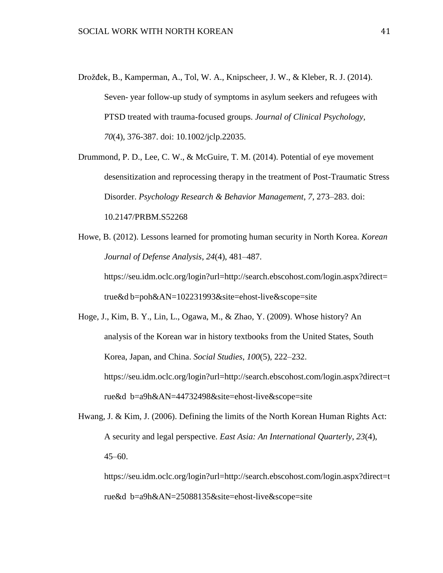Drožđek, B., Kamperman, A., Tol, W. A., Knipscheer, J. W., & Kleber, R. J. (2014). Seven- year follow-up study of symptoms in asylum seekers and refugees with PTSD treated with trauma-focused groups. *Journal of Clinical Psychology, 70*(4), 376-387. doi: 10.1002/jclp.22035.

Drummond, P. D., Lee, C. W., & McGuire, T. M. (2014). Potential of eye movement desensitization and reprocessing therapy in the treatment of Post-Traumatic Stress Disorder. *Psychology Research & Behavior Management*, *7*, 273–283. doi: 10.2147/PRBM.S52268

Howe, B. (2012). Lessons learned for promoting human security in North Korea. *Korean Journal of Defense Analysis*, *24*(4), 481–487. https://seu.idm.oclc.org/login?url=http://search.ebscohost.com/login.aspx?direct= true&d b=poh&AN=102231993&site=ehost-live&scope=site

Hoge, J., Kim, B. Y., Lin, L., Ogawa, M., & Zhao, Y. (2009). Whose history? An analysis of the Korean war in history textbooks from the United States, South Korea, Japan, and China. *Social Studies*, *100*(5), 222–232. https://seu.idm.oclc.org/login?url=http://search.ebscohost.com/login.aspx?direct=t rue&d b=a9h&AN=44732498&site=ehost-live&scope=site

Hwang, J. & Kim, J. (2006). Defining the limits of the North Korean Human Rights Act: A security and legal perspective. *East Asia: An International Quarterly*, *23*(4), 45–60.

https://seu.idm.oclc.org/login?url=http://search.ebscohost.com/login.aspx?direct=t rue&d b=a9h&AN=25088135&site=ehost-live&scope=site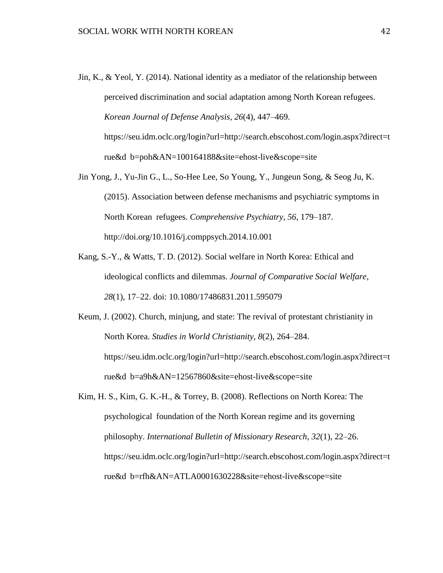Jin, K., & Yeol, Y. (2014). National identity as a mediator of the relationship between perceived discrimination and social adaptation among North Korean refugees. *Korean Journal of Defense Analysis*, *26*(4), 447–469.

https://seu.idm.oclc.org/login?url=http://search.ebscohost.com/login.aspx?direct=t rue&d b=poh&AN=100164188&site=ehost-live&scope=site

- Jin Yong, J., Yu-Jin G., L., So-Hee Lee, So Young, Y., Jungeun Song, & Seog Ju, K. (2015). Association between defense mechanisms and psychiatric symptoms in North Korean refugees. *Comprehensive Psychiatry*, *56*, 179–187. http://doi.org/10.1016/j.comppsych.2014.10.001
- Kang, S.-Y., & Watts, T. D. (2012). Social welfare in North Korea: Ethical and ideological conflicts and dilemmas. *Journal of Comparative Social Welfare*, *28*(1), 17–22. doi: 10.1080/17486831.2011.595079
- Keum, J. (2002). Church, minjung, and state: The revival of protestant christianity in North Korea. *Studies in World Christianity*, *8*(2), 264–284. https://seu.idm.oclc.org/login?url=http://search.ebscohost.com/login.aspx?direct=t rue&d b=a9h&AN=12567860&site=ehost-live&scope=site
- Kim, H. S., Kim, G. K.-H., & Torrey, B. (2008). Reflections on North Korea: The psychological foundation of the North Korean regime and its governing philosophy. *International Bulletin of Missionary Research*, *32*(1), 22–26. https://seu.idm.oclc.org/login?url=http://search.ebscohost.com/login.aspx?direct=t rue&d b=rfh&AN=ATLA0001630228&site=ehost-live&scope=site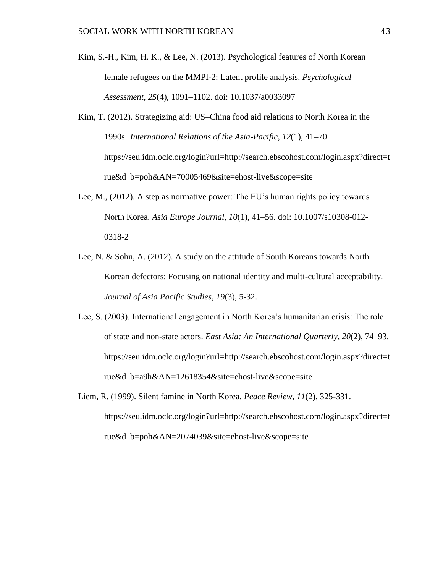- Kim, S.-H., Kim, H. K., & Lee, N. (2013). Psychological features of North Korean female refugees on the MMPI-2: Latent profile analysis. *Psychological Assessment*, *25*(4), 1091–1102. doi: 10.1037/a0033097
- Kim, T. (2012). Strategizing aid: US–China food aid relations to North Korea in the 1990s. *International Relations of the Asia-Pacific*, *12*(1), 41–70. https://seu.idm.oclc.org/login?url=http://search.ebscohost.com/login.aspx?direct=t rue&d b=poh&AN=70005469&site=ehost-live&scope=site
- Lee, M., (2012). A step as normative power: The EU's human rights policy towards North Korea. *Asia Europe Journal*, *10*(1), 41–56. doi: 10.1007/s10308-012- 0318-2
- Lee, N. & Sohn, A. (2012). A study on the attitude of South Koreans towards North Korean defectors: Focusing on national identity and multi-cultural acceptability. *Journal of Asia Pacific Studies, 19*(3), 5-32.
- Lee, S. (2003). International engagement in North Korea's humanitarian crisis: The role of state and non-state actors. *East Asia: An International Quarterly*, *20*(2), 74–93. https://seu.idm.oclc.org/login?url=http://search.ebscohost.com/login.aspx?direct=t rue&d b=a9h&AN=12618354&site=ehost-live&scope=site
- Liem, R. (1999). Silent famine in North Korea. *Peace Review*, *11*(2), 325-331. https://seu.idm.oclc.org/login?url=http://search.ebscohost.com/login.aspx?direct=t rue&d b=poh&AN=2074039&site=ehost-live&scope=site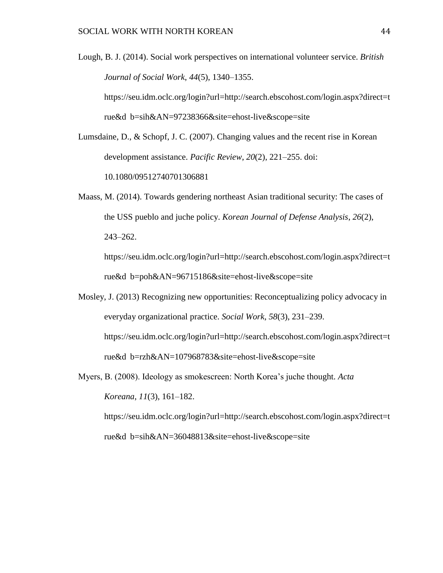- Lough, B. J. (2014). Social work perspectives on international volunteer service. *British Journal of Social Work*, *44*(5), 1340–1355. https://seu.idm.oclc.org/login?url=http://search.ebscohost.com/login.aspx?direct=t rue&d b=sih&AN=97238366&site=ehost-live&scope=site
- Lumsdaine, D., & Schopf, J. C. (2007). Changing values and the recent rise in Korean development assistance. *Pacific Review*, *20*(2), 221–255. doi: 10.1080/09512740701306881
- Maass, M. (2014). Towards gendering northeast Asian traditional security: The cases of the USS pueblo and juche policy. *Korean Journal of Defense Analysis*, *26*(2), 243–262.

https://seu.idm.oclc.org/login?url=http://search.ebscohost.com/login.aspx?direct=t rue&d b=poh&AN=96715186&site=ehost-live&scope=site

- Mosley, J. (2013) Recognizing new opportunities: Reconceptualizing policy advocacy in everyday organizational practice. *Social Work*, *58*(3), 231–239. https://seu.idm.oclc.org/login?url=http://search.ebscohost.com/login.aspx?direct=t rue&d b=rzh&AN=107968783&site=ehost-live&scope=site
- Myers, B. (2008). Ideology as smokescreen: North Korea's juche thought. *Acta Koreana*, *11*(3), 161–182. https://seu.idm.oclc.org/login?url=http://search.ebscohost.com/login.aspx?direct=t rue&d b=sih&AN=36048813&site=ehost-live&scope=site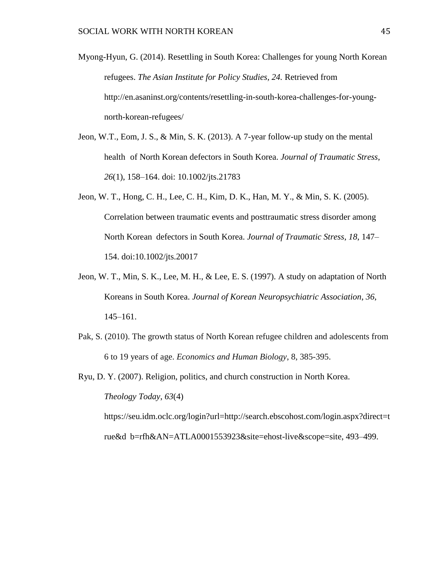Myong-Hyun, G. (2014). Resettling in South Korea: Challenges for young North Korean refugees. *The Asian Institute for Policy Studies, 24.* Retrieved from http://en.asaninst.org/contents/resettling-in-south-korea-challenges-for-youngnorth-korean-refugees/

- Jeon, W.T., Eom, J. S., & Min, S. K. (2013). A 7-year follow-up study on the mental health of North Korean defectors in South Korea. *Journal of Traumatic Stress*, *26*(1), 158–164. doi: 10.1002/jts.21783
- Jeon, W. T., Hong, C. H., Lee, C. H., Kim, D. K., Han, M. Y., & Min, S. K. (2005). Correlation between traumatic events and posttraumatic stress disorder among North Korean defectors in South Korea. *Journal of Traumatic Stress*, *18*, 147– 154. doi:10.1002/jts.20017
- Jeon, W. T., Min, S. K., Lee, M. H., & Lee, E. S. (1997). A study on adaptation of North Koreans in South Korea. *Journal of Korean Neuropsychiatric Association*, *36*, 145–161.
- Pak, S. (2010). The growth status of North Korean refugee children and adolescents from 6 to 19 years of age. *Economics and Human Biology*, 8, 385-395.

Ryu, D. Y. (2007). Religion, politics, and church construction in North Korea. *Theology Today*, *63*(4) https://seu.idm.oclc.org/login?url=http://search.ebscohost.com/login.aspx?direct=t rue&d b=rfh&AN=ATLA0001553923&site=ehost-live&scope=site, 493–499.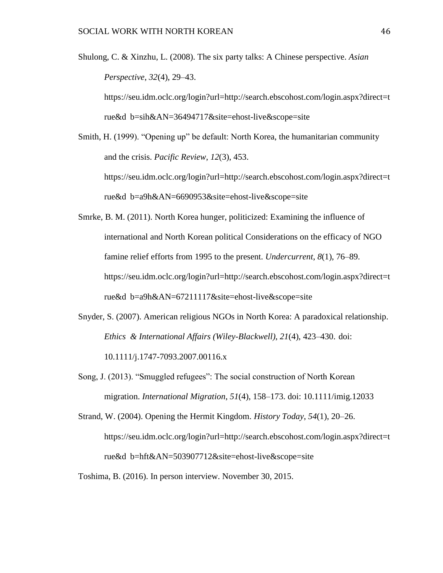Shulong, C. & Xinzhu, L. (2008). The six party talks: A Chinese perspective. *Asian Perspective*, *32*(4), 29–43.

https://seu.idm.oclc.org/login?url=http://search.ebscohost.com/login.aspx?direct=t rue&d b=sih&AN=36494717&site=ehost-live&scope=site

- Smith, H. (1999). "Opening up" be default: North Korea, the humanitarian community and the crisis. *Pacific Review*, *12*(3), 453. https://seu.idm.oclc.org/login?url=http://search.ebscohost.com/login.aspx?direct=t rue&d b=a9h&AN=6690953&site=ehost-live&scope=site
- Smrke, B. M. (2011). North Korea hunger, politicized: Examining the influence of international and North Korean political Considerations on the efficacy of NGO famine relief efforts from 1995 to the present. *Undercurrent*, *8*(1), 76–89. https://seu.idm.oclc.org/login?url=http://search.ebscohost.com/login.aspx?direct=t rue&d b=a9h&AN=67211117&site=ehost-live&scope=site
- Snyder, S. (2007). American religious NGOs in North Korea: A paradoxical relationship. *Ethics & International Affairs (Wiley-Blackwell)*, *21*(4), 423–430. doi: 10.1111/j.1747-7093.2007.00116.x
- Song, J. (2013). "Smuggled refugees": The social construction of North Korean migration. *International Migration*, *51*(4), 158–173. doi: 10.1111/imig.12033

Strand, W. (2004). Opening the Hermit Kingdom. *History Today*, *54*(1), 20–26. https://seu.idm.oclc.org/login?url=http://search.ebscohost.com/login.aspx?direct=t rue&d b=hft&AN=503907712&site=ehost-live&scope=site

Toshima, B. (2016). In person interview. November 30, 2015.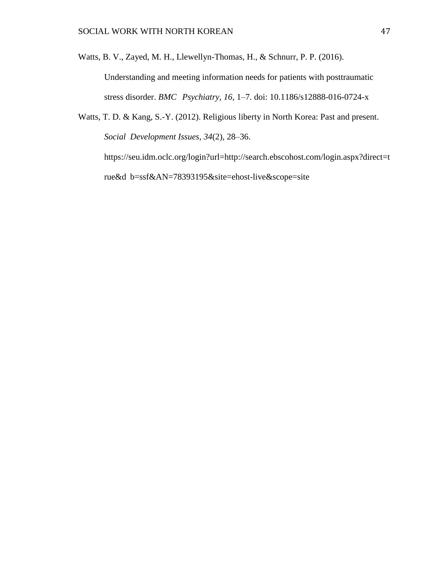Watts, B. V., Zayed, M. H., Llewellyn-Thomas, H., & Schnurr, P. P. (2016).

Understanding and meeting information needs for patients with posttraumatic stress disorder. *BMC Psychiatry*, *16*, 1–7. doi: 10.1186/s12888-016-0724-x

Watts, T. D. & Kang, S.-Y. (2012). Religious liberty in North Korea: Past and present. *Social Development Issues*, *34*(2), 28–36. https://seu.idm.oclc.org/login?url=http://search.ebscohost.com/login.aspx?direct=t rue&d b=ssf&AN=78393195&site=ehost-live&scope=site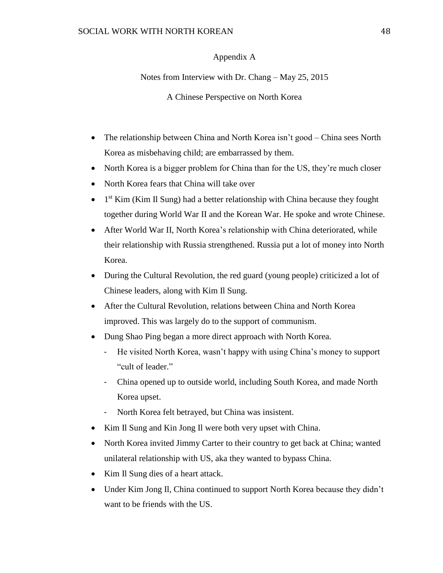# Appendix A

Notes from Interview with Dr. Chang – May 25, 2015

A Chinese Perspective on North Korea

- The relationship between China and North Korea isn't good China sees North Korea as misbehaving child; are embarrassed by them.
- North Korea is a bigger problem for China than for the US, they're much closer
- North Korea fears that China will take over
- $\bullet$  1<sup>st</sup> Kim (Kim Il Sung) had a better relationship with China because they fought together during World War II and the Korean War. He spoke and wrote Chinese.
- After World War II, North Korea's relationship with China deteriorated, while their relationship with Russia strengthened. Russia put a lot of money into North Korea.
- During the Cultural Revolution, the red guard (young people) criticized a lot of Chinese leaders, along with Kim Il Sung.
- After the Cultural Revolution, relations between China and North Korea improved. This was largely do to the support of communism.
- Dung Shao Ping began a more direct approach with North Korea.
	- He visited North Korea, wasn't happy with using China's money to support "cult of leader."
	- China opened up to outside world, including South Korea, and made North Korea upset.
	- North Korea felt betrayed, but China was insistent.
- Kim Il Sung and Kin Jong Il were both very upset with China.
- North Korea invited Jimmy Carter to their country to get back at China; wanted unilateral relationship with US, aka they wanted to bypass China.
- Kim Il Sung dies of a heart attack.
- Under Kim Jong Il, China continued to support North Korea because they didn't want to be friends with the US.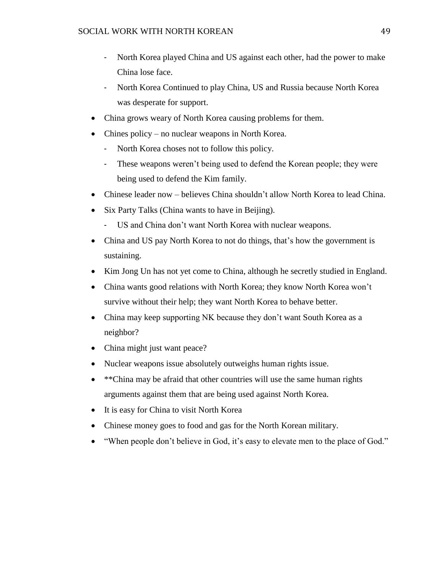- North Korea played China and US against each other, had the power to make China lose face.
- North Korea Continued to play China, US and Russia because North Korea was desperate for support.
- China grows weary of North Korea causing problems for them.
- Chines policy no nuclear weapons in North Korea.
	- North Korea choses not to follow this policy.
	- These weapons weren't being used to defend the Korean people; they were being used to defend the Kim family.
- Chinese leader now believes China shouldn't allow North Korea to lead China.
- Six Party Talks (China wants to have in Beijing).
	- US and China don't want North Korea with nuclear weapons.
- China and US pay North Korea to not do things, that's how the government is sustaining.
- Kim Jong Un has not yet come to China, although he secretly studied in England.
- China wants good relations with North Korea; they know North Korea won't survive without their help; they want North Korea to behave better.
- China may keep supporting NK because they don't want South Korea as a neighbor?
- China might just want peace?
- Nuclear weapons issue absolutely outweighs human rights issue.
- \*\*China may be afraid that other countries will use the same human rights arguments against them that are being used against North Korea.
- It is easy for China to visit North Korea
- Chinese money goes to food and gas for the North Korean military.
- "When people don't believe in God, it's easy to elevate men to the place of God."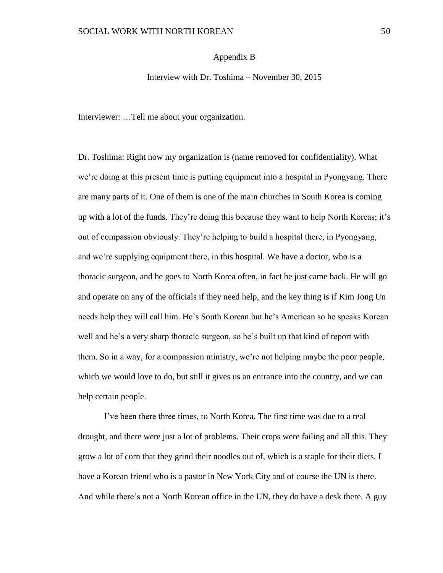### Appendix B

Interview with Dr. Toshima – November 30, 2015

Interviewer: …Tell me about your organization.

Dr. Toshima: Right now my organization is (name removed for confidentiality). What we're doing at this present time is putting equipment into a hospital in Pyongyang. There are many parts of it. One of them is one of the main churches in South Korea is coming up with a lot of the funds. They're doing this because they want to help North Koreas; it's out of compassion obviously. They're helping to build a hospital there, in Pyongyang, and we're supplying equipment there, in this hospital. We have a doctor, who is a thoracic surgeon, and he goes to North Korea often, in fact he just came back. He will go and operate on any of the officials if they need help, and the key thing is if Kim Jong Un needs help they will call him. He's South Korean but he's American so he speaks Korean well and he's a very sharp thoracic surgeon, so he's built up that kind of report with them. So in a way, for a compassion ministry, we're not helping maybe the poor people, which we would love to do, but still it gives us an entrance into the country, and we can help certain people.

I've been there three times, to North Korea. The first time was due to a real drought, and there were just a lot of problems. Their crops were failing and all this. They grow a lot of corn that they grind their noodles out of, which is a staple for their diets. I have a Korean friend who is a pastor in New York City and of course the UN is there. And while there's not a North Korean office in the UN, they do have a desk there. A guy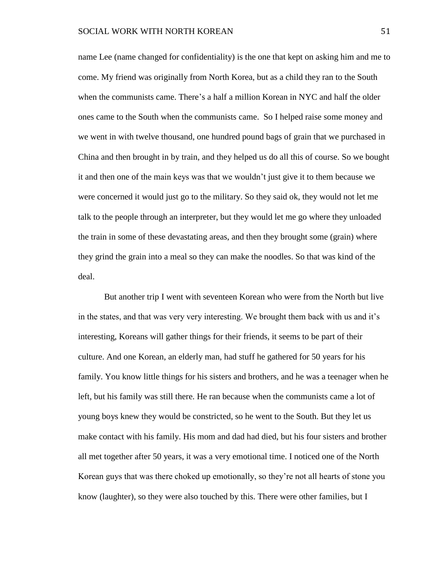name Lee (name changed for confidentiality) is the one that kept on asking him and me to come. My friend was originally from North Korea, but as a child they ran to the South when the communists came. There's a half a million Korean in NYC and half the older ones came to the South when the communists came. So I helped raise some money and we went in with twelve thousand, one hundred pound bags of grain that we purchased in China and then brought in by train, and they helped us do all this of course. So we bought it and then one of the main keys was that we wouldn't just give it to them because we were concerned it would just go to the military. So they said ok, they would not let me talk to the people through an interpreter, but they would let me go where they unloaded the train in some of these devastating areas, and then they brought some (grain) where they grind the grain into a meal so they can make the noodles. So that was kind of the deal.

But another trip I went with seventeen Korean who were from the North but live in the states, and that was very very interesting. We brought them back with us and it's interesting, Koreans will gather things for their friends, it seems to be part of their culture. And one Korean, an elderly man, had stuff he gathered for 50 years for his family. You know little things for his sisters and brothers, and he was a teenager when he left, but his family was still there. He ran because when the communists came a lot of young boys knew they would be constricted, so he went to the South. But they let us make contact with his family. His mom and dad had died, but his four sisters and brother all met together after 50 years, it was a very emotional time. I noticed one of the North Korean guys that was there choked up emotionally, so they're not all hearts of stone you know (laughter), so they were also touched by this. There were other families, but I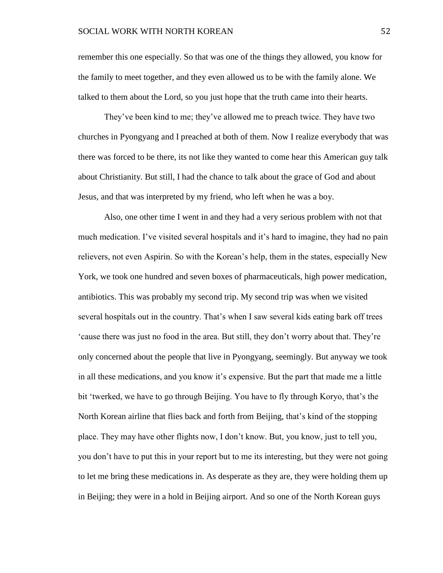remember this one especially. So that was one of the things they allowed, you know for the family to meet together, and they even allowed us to be with the family alone. We talked to them about the Lord, so you just hope that the truth came into their hearts.

They've been kind to me; they've allowed me to preach twice. They have two churches in Pyongyang and I preached at both of them. Now I realize everybody that was there was forced to be there, its not like they wanted to come hear this American guy talk about Christianity. But still, I had the chance to talk about the grace of God and about Jesus, and that was interpreted by my friend, who left when he was a boy.

Also, one other time I went in and they had a very serious problem with not that much medication. I've visited several hospitals and it's hard to imagine, they had no pain relievers, not even Aspirin. So with the Korean's help, them in the states, especially New York, we took one hundred and seven boxes of pharmaceuticals, high power medication, antibiotics. This was probably my second trip. My second trip was when we visited several hospitals out in the country. That's when I saw several kids eating bark off trees 'cause there was just no food in the area. But still, they don't worry about that. They're only concerned about the people that live in Pyongyang, seemingly. But anyway we took in all these medications, and you know it's expensive. But the part that made me a little bit 'twerked, we have to go through Beijing. You have to fly through Koryo, that's the North Korean airline that flies back and forth from Beijing, that's kind of the stopping place. They may have other flights now, I don't know. But, you know, just to tell you, you don't have to put this in your report but to me its interesting, but they were not going to let me bring these medications in. As desperate as they are, they were holding them up in Beijing; they were in a hold in Beijing airport. And so one of the North Korean guys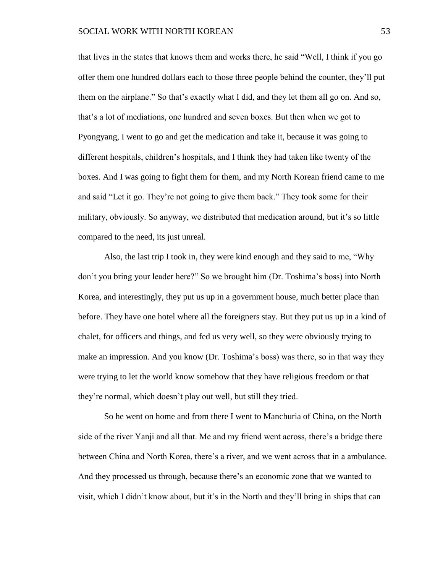that lives in the states that knows them and works there, he said "Well, I think if you go offer them one hundred dollars each to those three people behind the counter, they'll put them on the airplane." So that's exactly what I did, and they let them all go on. And so, that's a lot of mediations, one hundred and seven boxes. But then when we got to Pyongyang, I went to go and get the medication and take it, because it was going to different hospitals, children's hospitals, and I think they had taken like twenty of the boxes. And I was going to fight them for them, and my North Korean friend came to me and said "Let it go. They're not going to give them back." They took some for their military, obviously. So anyway, we distributed that medication around, but it's so little compared to the need, its just unreal.

Also, the last trip I took in, they were kind enough and they said to me, "Why don't you bring your leader here?" So we brought him (Dr. Toshima's boss) into North Korea, and interestingly, they put us up in a government house, much better place than before. They have one hotel where all the foreigners stay. But they put us up in a kind of chalet, for officers and things, and fed us very well, so they were obviously trying to make an impression. And you know (Dr. Toshima's boss) was there, so in that way they were trying to let the world know somehow that they have religious freedom or that they're normal, which doesn't play out well, but still they tried.

So he went on home and from there I went to Manchuria of China, on the North side of the river Yanji and all that. Me and my friend went across, there's a bridge there between China and North Korea, there's a river, and we went across that in a ambulance. And they processed us through, because there's an economic zone that we wanted to visit, which I didn't know about, but it's in the North and they'll bring in ships that can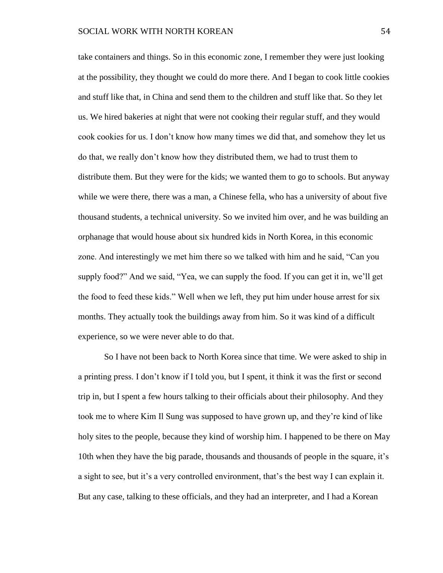take containers and things. So in this economic zone, I remember they were just looking at the possibility, they thought we could do more there. And I began to cook little cookies and stuff like that, in China and send them to the children and stuff like that. So they let us. We hired bakeries at night that were not cooking their regular stuff, and they would cook cookies for us. I don't know how many times we did that, and somehow they let us do that, we really don't know how they distributed them, we had to trust them to distribute them. But they were for the kids; we wanted them to go to schools. But anyway while we were there, there was a man, a Chinese fella, who has a university of about five thousand students, a technical university. So we invited him over, and he was building an orphanage that would house about six hundred kids in North Korea, in this economic zone. And interestingly we met him there so we talked with him and he said, "Can you supply food?" And we said, "Yea, we can supply the food. If you can get it in, we'll get the food to feed these kids." Well when we left, they put him under house arrest for six months. They actually took the buildings away from him. So it was kind of a difficult experience, so we were never able to do that.

So I have not been back to North Korea since that time. We were asked to ship in a printing press. I don't know if I told you, but I spent, it think it was the first or second trip in, but I spent a few hours talking to their officials about their philosophy. And they took me to where Kim Il Sung was supposed to have grown up, and they're kind of like holy sites to the people, because they kind of worship him. I happened to be there on May 10th when they have the big parade, thousands and thousands of people in the square, it's a sight to see, but it's a very controlled environment, that's the best way I can explain it. But any case, talking to these officials, and they had an interpreter, and I had a Korean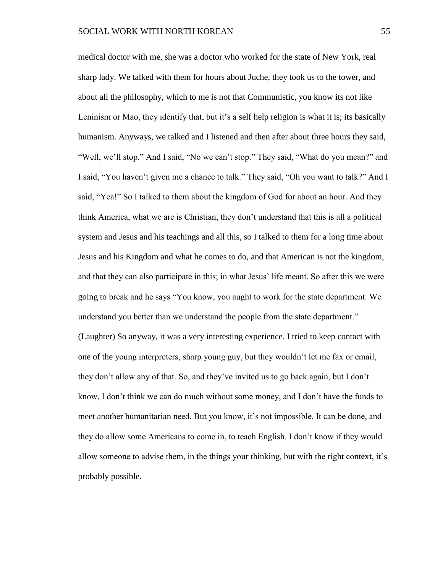medical doctor with me, she was a doctor who worked for the state of New York, real sharp lady. We talked with them for hours about Juche, they took us to the tower, and about all the philosophy, which to me is not that Communistic, you know its not like Leninism or Mao, they identify that, but it's a self help religion is what it is; its basically humanism. Anyways, we talked and I listened and then after about three hours they said, "Well, we'll stop." And I said, "No we can't stop." They said, "What do you mean?" and I said, "You haven't given me a chance to talk." They said, "Oh you want to talk?" And I said, "Yea!" So I talked to them about the kingdom of God for about an hour. And they think America, what we are is Christian, they don't understand that this is all a political system and Jesus and his teachings and all this, so I talked to them for a long time about Jesus and his Kingdom and what he comes to do, and that American is not the kingdom, and that they can also participate in this; in what Jesus' life meant. So after this we were going to break and he says "You know, you aught to work for the state department. We understand you better than we understand the people from the state department." (Laughter) So anyway, it was a very interesting experience. I tried to keep contact with one of the young interpreters, sharp young guy, but they wouldn't let me fax or email, they don't allow any of that. So, and they've invited us to go back again, but I don't know, I don't think we can do much without some money, and I don't have the funds to meet another humanitarian need. But you know, it's not impossible. It can be done, and they do allow some Americans to come in, to teach English. I don't know if they would allow someone to advise them, in the things your thinking, but with the right context, it's probably possible.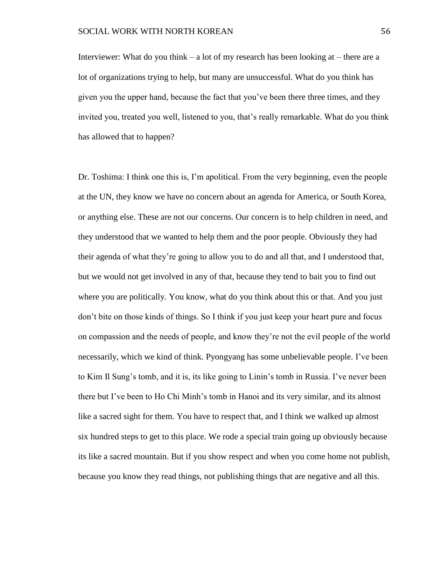Interviewer: What do you think – a lot of my research has been looking at – there are a lot of organizations trying to help, but many are unsuccessful. What do you think has given you the upper hand, because the fact that you've been there three times, and they invited you, treated you well, listened to you, that's really remarkable. What do you think has allowed that to happen?

Dr. Toshima: I think one this is, I'm apolitical. From the very beginning, even the people at the UN, they know we have no concern about an agenda for America, or South Korea, or anything else. These are not our concerns. Our concern is to help children in need, and they understood that we wanted to help them and the poor people. Obviously they had their agenda of what they're going to allow you to do and all that, and I understood that, but we would not get involved in any of that, because they tend to bait you to find out where you are politically. You know, what do you think about this or that. And you just don't bite on those kinds of things. So I think if you just keep your heart pure and focus on compassion and the needs of people, and know they're not the evil people of the world necessarily, which we kind of think. Pyongyang has some unbelievable people. I've been to Kim Il Sung's tomb, and it is, its like going to Linin's tomb in Russia. I've never been there but I've been to Ho Chi Minh's tomb in Hanoi and its very similar, and its almost like a sacred sight for them. You have to respect that, and I think we walked up almost six hundred steps to get to this place. We rode a special train going up obviously because its like a sacred mountain. But if you show respect and when you come home not publish, because you know they read things, not publishing things that are negative and all this.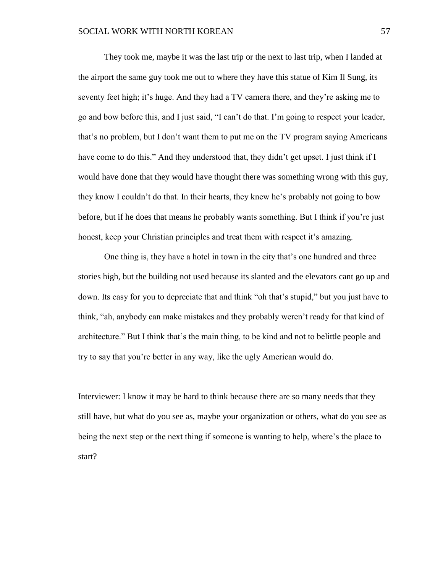They took me, maybe it was the last trip or the next to last trip, when I landed at the airport the same guy took me out to where they have this statue of Kim Il Sung, its seventy feet high; it's huge. And they had a TV camera there, and they're asking me to go and bow before this, and I just said, "I can't do that. I'm going to respect your leader, that's no problem, but I don't want them to put me on the TV program saying Americans have come to do this." And they understood that, they didn't get upset. I just think if I would have done that they would have thought there was something wrong with this guy, they know I couldn't do that. In their hearts, they knew he's probably not going to bow before, but if he does that means he probably wants something. But I think if you're just honest, keep your Christian principles and treat them with respect it's amazing.

One thing is, they have a hotel in town in the city that's one hundred and three stories high, but the building not used because its slanted and the elevators cant go up and down. Its easy for you to depreciate that and think "oh that's stupid," but you just have to think, "ah, anybody can make mistakes and they probably weren't ready for that kind of architecture." But I think that's the main thing, to be kind and not to belittle people and try to say that you're better in any way, like the ugly American would do.

Interviewer: I know it may be hard to think because there are so many needs that they still have, but what do you see as, maybe your organization or others, what do you see as being the next step or the next thing if someone is wanting to help, where's the place to start?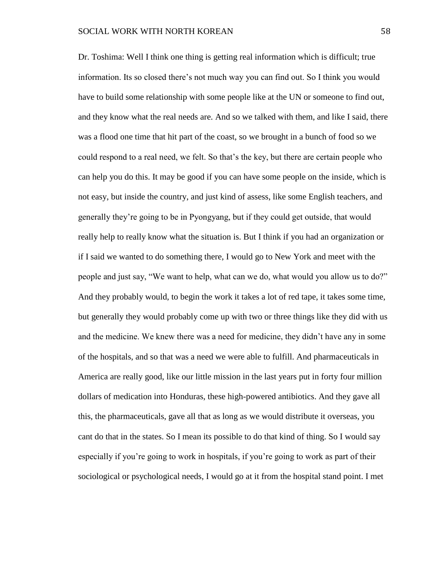Dr. Toshima: Well I think one thing is getting real information which is difficult; true information. Its so closed there's not much way you can find out. So I think you would have to build some relationship with some people like at the UN or someone to find out, and they know what the real needs are. And so we talked with them, and like I said, there was a flood one time that hit part of the coast, so we brought in a bunch of food so we could respond to a real need, we felt. So that's the key, but there are certain people who can help you do this. It may be good if you can have some people on the inside, which is not easy, but inside the country, and just kind of assess, like some English teachers, and generally they're going to be in Pyongyang, but if they could get outside, that would really help to really know what the situation is. But I think if you had an organization or if I said we wanted to do something there, I would go to New York and meet with the people and just say, "We want to help, what can we do, what would you allow us to do?" And they probably would, to begin the work it takes a lot of red tape, it takes some time, but generally they would probably come up with two or three things like they did with us and the medicine. We knew there was a need for medicine, they didn't have any in some of the hospitals, and so that was a need we were able to fulfill. And pharmaceuticals in America are really good, like our little mission in the last years put in forty four million dollars of medication into Honduras, these high-powered antibiotics. And they gave all this, the pharmaceuticals, gave all that as long as we would distribute it overseas, you cant do that in the states. So I mean its possible to do that kind of thing. So I would say especially if you're going to work in hospitals, if you're going to work as part of their sociological or psychological needs, I would go at it from the hospital stand point. I met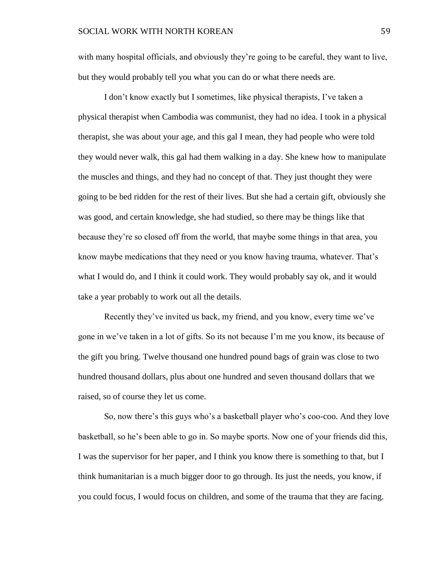with many hospital officials, and obviously they're going to be careful, they want to live, but they would probably tell you what you can do or what there needs are.

I don't know exactly but I sometimes, like physical therapists, I've taken a physical therapist when Cambodia was communist, they had no idea. I took in a physical therapist, she was about your age, and this gal I mean, they had people who were told they would never walk, this gal had them walking in a day. She knew how to manipulate the muscles and things, and they had no concept of that. They just thought they were going to be bed ridden for the rest of their lives. But she had a certain gift, obviously she was good, and certain knowledge, she had studied, so there may be things like that because they're so closed off from the world, that maybe some things in that area, you know maybe medications that they need or you know having trauma, whatever. That's what I would do, and I think it could work. They would probably say ok, and it would take a year probably to work out all the details.

Recently they've invited us back, my friend, and you know, every time we've gone in we've taken in a lot of gifts. So its not because I'm me you know, its because of the gift you bring. Twelve thousand one hundred pound bags of grain was close to two hundred thousand dollars, plus about one hundred and seven thousand dollars that we raised, so of course they let us come.

So, now there's this guys who's a basketball player who's coo-coo. And they love basketball, so he's been able to go in. So maybe sports. Now one of your friends did this, I was the supervisor for her paper, and I think you know there is something to that, but I think humanitarian is a much bigger door to go through. Its just the needs, you know, if you could focus, I would focus on children, and some of the trauma that they are facing.